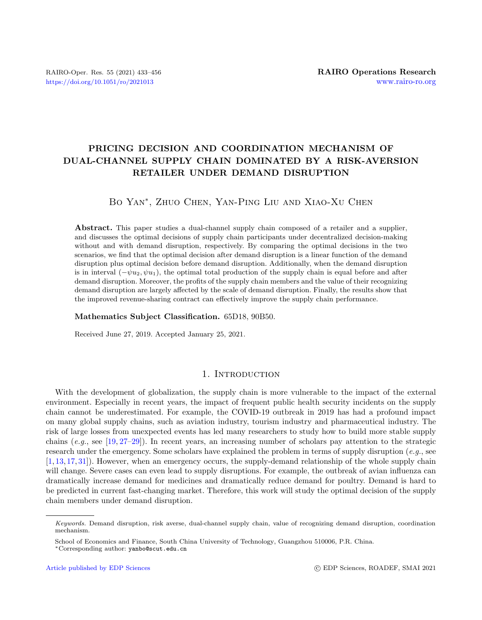# PRICING DECISION AND COORDINATION MECHANISM OF DUAL-CHANNEL SUPPLY CHAIN DOMINATED BY A RISK-AVERSION RETAILER UNDER DEMAND DISRUPTION

# Bo Yan<sup>∗</sup> , Zhuo Chen, Yan-Ping Liu and Xiao-Xu Chen

Abstract. This paper studies a dual-channel supply chain composed of a retailer and a supplier, and discusses the optimal decisions of supply chain participants under decentralized decision-making without and with demand disruption, respectively. By comparing the optimal decisions in the two scenarios, we find that the optimal decision after demand disruption is a linear function of the demand disruption plus optimal decision before demand disruption. Additionally, when the demand disruption is in interval  $(-\psi u_2, \psi u_1)$ , the optimal total production of the supply chain is equal before and after demand disruption. Moreover, the profits of the supply chain members and the value of their recognizing demand disruption are largely affected by the scale of demand disruption. Finally, the results show that the improved revenue-sharing contract can effectively improve the supply chain performance.

#### Mathematics Subject Classification. 65D18, 90B50.

Received June 27, 2019. Accepted January 25, 2021.

# 1. INTRODUCTION

With the development of globalization, the supply chain is more vulnerable to the impact of the external environment. Especially in recent years, the impact of frequent public health security incidents on the supply chain cannot be underestimated. For example, the COVID-19 outbreak in 2019 has had a profound impact on many global supply chains, such as aviation industry, tourism industry and pharmaceutical industry. The risk of large losses from unexpected events has led many researchers to study how to build more stable supply chains (e.g., see [\[19,](#page-22-0) [27–](#page-22-1)[29\]](#page-22-2)). In recent years, an increasing number of scholars pay attention to the strategic research under the emergency. Some scholars have explained the problem in terms of supply disruption (e.g., see [\[1,](#page-22-3) [13,](#page-22-4) [17,](#page-22-5) [31\]](#page-22-6)). However, when an emergency occurs, the supply-demand relationship of the whole supply chain will change. Severe cases can even lead to supply disruptions. For example, the outbreak of avian influenza can dramatically increase demand for medicines and dramatically reduce demand for poultry. Demand is hard to be predicted in current fast-changing market. Therefore, this work will study the optimal decision of the supply chain members under demand disruption.

Keywords. Demand disruption, risk averse, dual-channel supply chain, value of recognizing demand disruption, coordination mechanism.

School of Economics and Finance, South China University of Technology, Guangzhou 510006, P.R. China. <sup>∗</sup>Corresponding author: [yanbo@scut.edu.cn](mailto:yanbo@scut.edu.cn)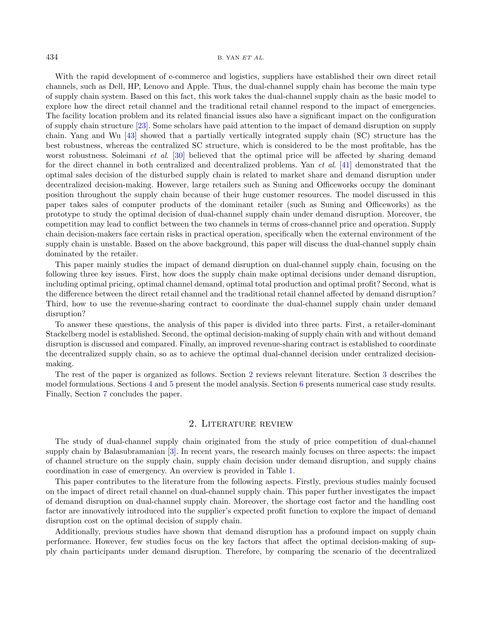With the rapid development of e-commerce and logistics, suppliers have established their own direct retail channels, such as Dell, HP, Lenovo and Apple. Thus, the dual-channel supply chain has become the main type of supply chain system. Based on this fact, this work takes the dual-channel supply chain as the basic model to explore how the direct retail channel and the traditional retail channel respond to the impact of emergencies. The facility location problem and its related financial issues also have a significant impact on the configuration of supply chain structure [\[23\]](#page-22-7). Some scholars have paid attention to the impact of demand disruption on supply chain. Yang and Wu [\[43\]](#page-23-0) showed that a partially vertically integrated supply chain (SC) structure has the best robustness, whereas the centralized SC structure, which is considered to be the most profitable, has the worst robustness. Soleimani *et al.* [\[30\]](#page-22-8) believed that the optimal price will be affected by sharing demand for the direct channel in both centralized and decentralized problems. Yan et al. [\[41\]](#page-23-1) demonstrated that the optimal sales decision of the disturbed supply chain is related to market share and demand disruption under decentralized decision-making. However, large retailers such as Suning and Officeworks occupy the dominant position throughout the supply chain because of their huge customer resources. The model discussed in this paper takes sales of computer products of the dominant retailer (such as Suning and Officeworks) as the prototype to study the optimal decision of dual-channel supply chain under demand disruption. Moreover, the competition may lead to conflict between the two channels in terms of cross-channel price and operation. Supply chain decision-makers face certain risks in practical operation, specifically when the external environment of the supply chain is unstable. Based on the above background, this paper will discuss the dual-channel supply chain dominated by the retailer.

This paper mainly studies the impact of demand disruption on dual-channel supply chain, focusing on the following three key issues. First, how does the supply chain make optimal decisions under demand disruption, including optimal pricing, optimal channel demand, optimal total production and optimal profit? Second, what is the difference between the direct retail channel and the traditional retail channel affected by demand disruption? Third, how to use the revenue-sharing contract to coordinate the dual-channel supply chain under demand disruption?

To answer these questions, the analysis of this paper is divided into three parts. First, a retailer-dominant Stackelberg model is established. Second, the optimal decision-making of supply chain with and without demand disruption is discussed and compared. Finally, an improved revenue-sharing contract is established to coordinate the decentralized supply chain, so as to achieve the optimal dual-channel decision under centralized decisionmaking.

The rest of the paper is organized as follows. Section [2](#page-1-0) reviews relevant literature. Section [3](#page-3-0) describes the model formulations. Sections [4](#page-5-0) and [5](#page-12-0) present the model analysis. Section [6](#page-17-0) presents numerical case study results. Finally, Section [7](#page-20-0) concludes the paper.

# 2. Literature review

<span id="page-1-0"></span>The study of dual-channel supply chain originated from the study of price competition of dual-channel supply chain by Balasubramanian [\[3\]](#page-22-9). In recent years, the research mainly focuses on three aspects: the impact of channel structure on the supply chain, supply chain decision under demand disruption, and supply chains coordination in case of emergency. An overview is provided in Table [1.](#page-2-0)

This paper contributes to the literature from the following aspects. Firstly, previous studies mainly focused on the impact of direct retail channel on dual-channel supply chain. This paper further investigates the impact of demand disruption on dual-channel supply chain. Moreover, the shortage cost factor and the handling cost factor are innovatively introduced into the supplier's expected profit function to explore the impact of demand disruption cost on the optimal decision of supply chain.

Additionally, previous studies have shown that demand disruption has a profound impact on supply chain performance. However, few studies focus on the key factors that affect the optimal decision-making of supply chain participants under demand disruption. Therefore, by comparing the scenario of the decentralized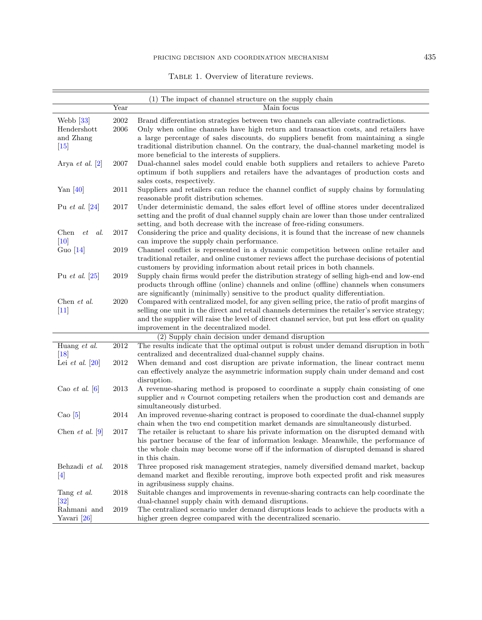<span id="page-2-0"></span>TABLE 1. Overview of literature reviews.

 $\equiv$ 

|                         |            | (1) The impact of channel structure on the supply chain                                                                                                                     |
|-------------------------|------------|-----------------------------------------------------------------------------------------------------------------------------------------------------------------------------|
|                         | Year       | Main focus                                                                                                                                                                  |
| Webb $[33]$             | $\,2002\,$ | Brand differentiation strategies between two channels can alleviate contradictions.                                                                                         |
| Hendershott             | $\,2006$   | Only when online channels have high return and transaction costs, and retailers have                                                                                        |
| and Zhang               |            | a large percentage of sales discounts, do suppliers benefit from maintaining a single                                                                                       |
| $[15]$                  |            | traditional distribution channel. On the contrary, the dual-channel marketing model is                                                                                      |
|                         |            | more beneficial to the interests of suppliers.                                                                                                                              |
| Arya et al. $[2]$       | 2007       | Dual-channel sales model could enable both suppliers and retailers to achieve Pareto                                                                                        |
|                         |            | optimum if both suppliers and retailers have the advantages of production costs and                                                                                         |
|                         |            | sales costs, respectively.                                                                                                                                                  |
| Yan $[40]$              | 2011       | Suppliers and retailers can reduce the channel conflict of supply chains by formulating                                                                                     |
|                         |            | reasonable profit distribution schemes.                                                                                                                                     |
| Pu <i>et al.</i> $[24]$ | 2017       | Under deterministic demand, the sales effort level of offline stores under decentralized                                                                                    |
|                         |            | setting and the profit of dual channel supply chain are lower than those under centralized                                                                                  |
|                         |            | setting, and both decrease with the increase of free-riding consumers.                                                                                                      |
| Chen<br>$et \quad al.$  | 2017       | Considering the price and quality decisions, it is found that the increase of new channels                                                                                  |
| $[10]$                  |            | can improve the supply chain performance.                                                                                                                                   |
| Guo $[14]$              | 2019       | Channel conflict is represented in a dynamic competition between online retailer and                                                                                        |
|                         |            | traditional retailer, and online customer reviews affect the purchase decisions of potential                                                                                |
|                         |            | customers by providing information about retail prices in both channels.                                                                                                    |
| Pu <i>et al.</i> $[25]$ | 2019       | Supply chain firms would prefer the distribution strategy of selling high-end and low-end                                                                                   |
|                         |            | products through offline (online) channels and online (offline) channels when consumers                                                                                     |
|                         |            | are significantly (minimally) sensitive to the product quality differentiation.                                                                                             |
| Chen et al.             | 2020       | Compared with centralized model, for any given selling price, the ratio of profit margins of                                                                                |
| $[11]$                  |            | selling one unit in the direct and retail channels determines the retailer's service strategy;                                                                              |
|                         |            | and the supplier will raise the level of direct channel service, but put less effort on quality                                                                             |
|                         |            | improvement in the decentralized model.                                                                                                                                     |
|                         |            | (2) Supply chain decision under demand disruption                                                                                                                           |
| Huang et al.            | 2012       | The results indicate that the optimal output is robust under demand disruption in both                                                                                      |
| $\vert 18 \vert$        |            | centralized and decentralized dual-channel supply chains.                                                                                                                   |
| Lei et al. $[20]$       | 2012       | When demand and cost disruption are private information, the linear contract menu                                                                                           |
|                         |            | can effectively analyze the asymmetric information supply chain under demand and cost                                                                                       |
|                         |            | disruption.                                                                                                                                                                 |
| Cao et al. $[6]$        | 2013       | A revenue-sharing method is proposed to coordinate a supply chain consisting of one                                                                                         |
|                         |            | supplier and $n$ Cournot competing retailers when the production cost and demands are                                                                                       |
|                         |            | simultaneously disturbed.                                                                                                                                                   |
| Cao $[5]$               | 2014       | An improved revenue-sharing contract is proposed to coordinate the dual-channel supply                                                                                      |
|                         |            | chain when the two end competition market demands are simultaneously disturbed.                                                                                             |
| Chen et al. $[9]$       | 2017       | The retailer is reluctant to share his private information on the disrupted demand with                                                                                     |
|                         |            | his partner because of the fear of information leakage. Meanwhile, the performance of                                                                                       |
|                         |            | the whole chain may become worse off if the information of disrupted demand is shared                                                                                       |
|                         |            | in this chain.                                                                                                                                                              |
| Behzadi et al.          | 2018       | Three proposed risk management strategies, namely diversified demand market, backup<br>demand market and flexible rerouting, improve both expected profit and risk measures |
| 4                       |            |                                                                                                                                                                             |
| Tang et al.             | 2018       | in agribusiness supply chains.<br>Suitable changes and improvements in revenue-sharing contracts can help coordinate the                                                    |
| $\left[32\right]$       |            | dual-channel supply chain with demand disruptions.                                                                                                                          |
| Rahmani and             | 2019       | The centralized scenario under demand disruptions leads to achieve the products with a                                                                                      |
| Yavari [26]             |            | higher green degree compared with the decentralized scenario.                                                                                                               |
|                         |            |                                                                                                                                                                             |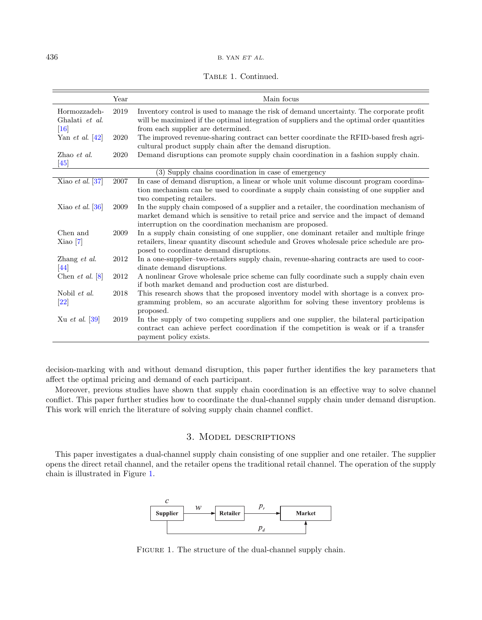|  | TABLE 1. Continued. |
|--|---------------------|
|--|---------------------|

|                                          | Year | Main focus                                                                                                                                                                                                                                    |
|------------------------------------------|------|-----------------------------------------------------------------------------------------------------------------------------------------------------------------------------------------------------------------------------------------------|
| Hormozzadeh-<br>Ghalati et al.<br>$[16]$ | 2019 | Inventory control is used to manage the risk of demand uncertainty. The corporate profit<br>will be maximized if the optimal integration of suppliers and the optimal order quantities<br>from each supplier are determined.                  |
| Yan <i>et al.</i> $[42]$                 | 2020 | The improved revenue-sharing contract can better coordinate the RFID-based fresh agri-<br>cultural product supply chain after the demand disruption.                                                                                          |
| Zhao et al.<br>[45]                      | 2020 | Demand disruptions can promote supply chain coordination in a fashion supply chain.                                                                                                                                                           |
|                                          |      | (3) Supply chains coordination in case of emergency                                                                                                                                                                                           |
| Xiao et al. $[37]$                       | 2007 | In case of demand disruption, a linear or whole unit volume discount program coordina-<br>tion mechanism can be used to coordinate a supply chain consisting of one supplier and<br>two competing retailers.                                  |
| Xiao et al. $ 36 $                       | 2009 | In the supply chain composed of a supplier and a retailer, the coordination mechanism of<br>market demand which is sensitive to retail price and service and the impact of demand<br>interruption on the coordination mechanism are proposed. |
| Chen and<br>Xiao <sub>7</sub>            | 2009 | In a supply chain consisting of one supplier, one dominant retailer and multiple fringe<br>retailers, linear quantity discount schedule and Groves wholesale price schedule are pro-<br>posed to coordinate demand disruptions.               |
| Zhang et al.<br>$\left[44\right]$        | 2012 | In a one-supplier-two-retailers supply chain, revenue-sharing contracts are used to coor-<br>dinate demand disruptions.                                                                                                                       |
| Chen et al. $[8]$                        | 2012 | A nonlinear Grove wholesale price scheme can fully coordinate such a supply chain even<br>if both market demand and production cost are disturbed.                                                                                            |
| Nobil et al.<br>[22]                     | 2018 | This research shows that the proposed inventory model with shortage is a convex pro-<br>gramming problem, so an accurate algorithm for solving these inventory problems is<br>proposed.                                                       |
| Xu et al. [39]                           | 2019 | In the supply of two competing suppliers and one supplier, the bilateral participation<br>contract can achieve perfect coordination if the competition is weak or if a transfer<br>payment policy exists.                                     |

decision-marking with and without demand disruption, this paper further identifies the key parameters that affect the optimal pricing and demand of each participant.

Moreover, previous studies have shown that supply chain coordination is an effective way to solve channel conflict. This paper further studies how to coordinate the dual-channel supply chain under demand disruption. This work will enrich the literature of solving supply chain channel conflict.

# <span id="page-3-1"></span>3. Model descriptions

<span id="page-3-0"></span>This paper investigates a dual-channel supply chain consisting of one supplier and one retailer. The supplier opens the direct retail channel, and the retailer opens the traditional retail channel. The operation of the supply chain is illustrated in Figure [1.](#page-3-1)



FIGURE 1. The structure of the dual-channel supply chain.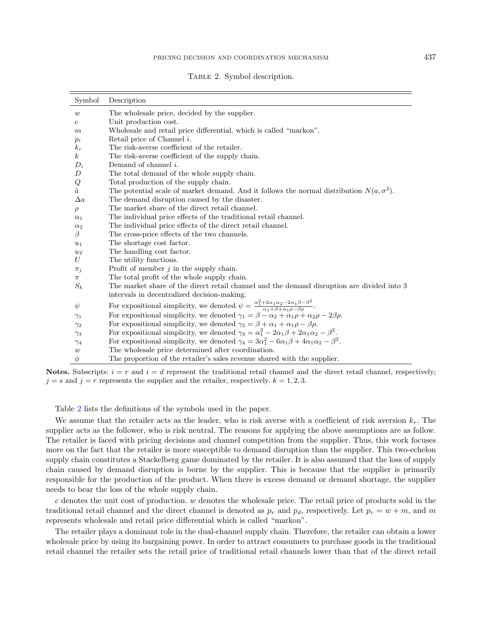<span id="page-4-0"></span>

|  |  |  | TABLE 2. Symbol description. |
|--|--|--|------------------------------|
|--|--|--|------------------------------|

| Symbol           | Description                                                                                                                                                      |
|------------------|------------------------------------------------------------------------------------------------------------------------------------------------------------------|
| $\boldsymbol{w}$ | The wholesale price, decided by the supplier.                                                                                                                    |
| $\mathfrak{c}$   | Unit production cost.                                                                                                                                            |
| $_{m}$           | Wholesale and retail price differential, which is called "markon".                                                                                               |
| $p_i$            | Retail price of Channel $i$ .                                                                                                                                    |
| $k_r$            | The risk-averse coefficient of the retailer.                                                                                                                     |
| $\boldsymbol{k}$ | The risk-averse coefficient of the supply chain.                                                                                                                 |
| $D_i$            | Demand of channel $i$ .                                                                                                                                          |
| D                | The total demand of the whole supply chain.                                                                                                                      |
| $\it{Q}$         | Total production of the supply chain.                                                                                                                            |
| $\tilde{a}$      | The potential scale of market demand. And it follows the normal distribution $N(a, \sigma^2)$ .                                                                  |
| $\Delta a$       | The demand disruption caused by the disaster.                                                                                                                    |
| $\rho$           | The market share of the direct retail channel.                                                                                                                   |
| $\alpha_1$       | The individual price effects of the traditional retail channel.                                                                                                  |
| $\alpha_2$       | The individual price effects of the direct retail channel.                                                                                                       |
| $\beta$          | The cross-price effects of the two channels.                                                                                                                     |
| $u_1$            | The shortage cost factor.                                                                                                                                        |
| $u_2$            | The handling cost factor.                                                                                                                                        |
| U                | The utility functions.                                                                                                                                           |
| $\pi_j$          | Profit of member $j$ in the supply chain.                                                                                                                        |
| $\pi$            | The total profit of the whole supply chain.                                                                                                                      |
| $S_k$            | The market share of the direct retail channel and the demand disruption are divided into 3                                                                       |
|                  | intervals in decentralized decision-making.                                                                                                                      |
| $\psi$           | For expositional simplicity, we denoted $\psi = \frac{\alpha_1^2 + 2\alpha_1\alpha_2 - 2\alpha_1\beta - \beta^2}{\alpha_1 + \beta + \alpha_1\rho - \beta\rho}$ . |
| $\gamma_1$       | For expositional simplicity, we denoted $\gamma_1 = \beta - \alpha_2 + \alpha_1 \rho + \alpha_2 \rho - 2\beta \rho$ .                                            |
| $\gamma_2$       | For expositional simplicity, we denoted $\gamma_2 = \beta + \alpha_1 + \alpha_1 \rho - \beta \rho$ .                                                             |
| $\gamma_3$       | For expositional simplicity, we denoted $\gamma_3 = \alpha_1^2 - 2\alpha_1\beta + 2\alpha_1\alpha_2 - \beta^2$ .                                                 |
| $\gamma_4$       | For expositional simplicity, we denoted $\gamma_4 = 3\alpha_1^2 - 6\alpha_1\beta + 4\alpha_1\alpha_2 - \beta^2$ .                                                |
| $\boldsymbol{w}$ | The wholesale price determined after coordination.                                                                                                               |
| $\phi$           | The proportion of the retailer's sales revenue shared with the supplier.                                                                                         |

Notes. Subscripts:  $i = r$  and  $i = d$  represent the traditional retail channel and the direct retail channel, respectively;  $j = s$  and  $j = r$  represents the supplier and the retailer, respectively.  $k = 1, 2, 3$ .

Table [2](#page-4-0) lists the definitions of the symbols used in the paper.

We assume that the retailer acts as the leader, who is risk averse with a coefficient of risk aversion  $k_r$ . The supplier acts as the follower, who is risk neutral. The reasons for applying the above assumptions are as follow. The retailer is faced with pricing decisions and channel competition from the supplier. Thus, this work focuses more on the fact that the retailer is more susceptible to demand disruption than the supplier. This two-echelon supply chain constitutes a Stackelberg game dominated by the retailer. It is also assumed that the loss of supply chain caused by demand disruption is borne by the supplier. This is because that the supplier is primarily responsible for the production of the product. When there is excess demand or demand shortage, the supplier needs to bear the loss of the whole supply chain.

c denotes the unit cost of production. w denotes the wholesale price. The retail price of products sold in the traditional retail channel and the direct channel is denoted as  $p_r$  and  $p_d$ , respectively. Let  $p_r = w + m$ , and m represents wholesale and retail price differential which is called "markon".

The retailer plays a dominant role in the dual-channel supply chain. Therefore, the retailer can obtain a lower wholesale price by using its bargaining power. In order to attract consumers to purchase goods in the traditional retail channel the retailer sets the retail price of traditional retail channels lower than that of the direct retail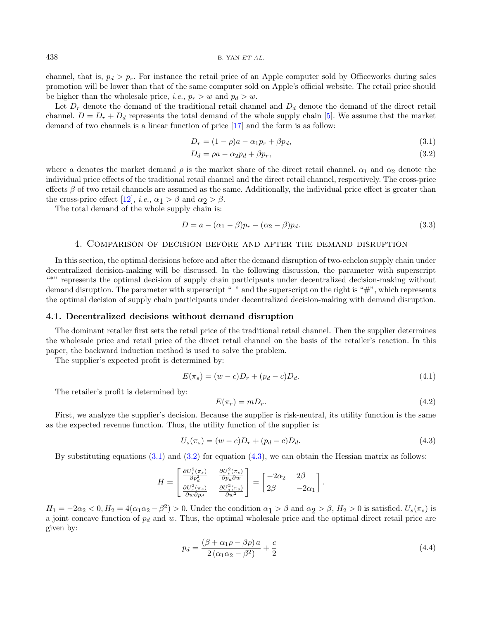channel, that is,  $p_d > p_r$ . For instance the retail price of an Apple computer sold by Officeworks during sales promotion will be lower than that of the same computer sold on Apple's official website. The retail price should be higher than the wholesale price, *i.e.*,  $p_r > w$  and  $p_d > w$ .

Let  $D_r$  denote the demand of the traditional retail channel and  $D_d$  denote the demand of the direct retail channel.  $D = D_r + D_d$  represents the total demand of the whole supply chain [\[5\]](#page-22-21). We assume that the market demand of two channels is a linear function of price [\[17\]](#page-22-5) and the form is as follow:

<span id="page-5-5"></span><span id="page-5-2"></span><span id="page-5-1"></span>
$$
D_r = (1 - \rho)a - \alpha_1 p_r + \beta p_d, \qquad (3.1)
$$

$$
D_d = \rho a - \alpha_2 p_d + \beta p_r,\tag{3.2}
$$

where a denotes the market demand  $\rho$  is the market share of the direct retail channel.  $\alpha_1$  and  $\alpha_2$  denote the individual price effects of the traditional retail channel and the direct retail channel, respectively. The cross-price effects  $\beta$  of two retail channels are assumed as the same. Additionally, the individual price effect is greater than the cross-price effect [\[12\]](#page-22-30), *i.e.*,  $\alpha_1 > \beta$  and  $\alpha_2 > \beta$ .

The total demand of the whole supply chain is:

<span id="page-5-7"></span><span id="page-5-6"></span>
$$
D = a - (\alpha_1 - \beta)p_r - (\alpha_2 - \beta)p_d.
$$
\n
$$
(3.3)
$$

#### 4. Comparison of decision before and after the demand disruption

<span id="page-5-0"></span>In this section, the optimal decisions before and after the demand disruption of two-echelon supply chain under decentralized decision-making will be discussed. In the following discussion, the parameter with superscript "\*" represents the optimal decision of supply chain participants under decentralized decision-making without demand disruption. The parameter with superscript "–" and the superscript on the right is "#", which represents the optimal decision of supply chain participants under decentralized decision-making with demand disruption.

#### 4.1. Decentralized decisions without demand disruption

The dominant retailer first sets the retail price of the traditional retail channel. Then the supplier determines the wholesale price and retail price of the direct retail channel on the basis of the retailer's reaction. In this paper, the backward induction method is used to solve the problem.

The supplier's expected profit is determined by:

$$
E(\pi_s) = (w - c)D_r + (p_d - c)D_d.
$$
\n(4.1)

The retailer's profit is determined by:

<span id="page-5-4"></span><span id="page-5-3"></span>
$$
E(\pi_r) = m D_r. \tag{4.2}
$$

First, we analyze the supplier's decision. Because the supplier is risk-neutral, its utility function is the same as the expected revenue function. Thus, the utility function of the supplier is:

$$
U_s(\pi_s) = (w - c)D_r + (p_d - c)D_d.
$$
\n(4.3)

By substituting equations  $(3.1)$  and  $(3.2)$  for equation  $(4.3)$ , we can obtain the Hessian matrix as follows:

$$
H = \begin{bmatrix} \frac{\partial U_s^2(\pi_s)}{\partial p_d^2} & \frac{\partial U_s^2(\pi_s)}{\partial p_d \partial w} \\ \frac{\partial U_s^2(\pi_s)}{\partial w \partial p_d} & \frac{\partial U_s^2(\pi_s)}{\partial w^2} \end{bmatrix} = \begin{bmatrix} -2\alpha_2 & 2\beta \\ 2\beta & -2\alpha_1 \end{bmatrix}.
$$

 $H_1 = -2\alpha_2 < 0, H_2 = 4(\alpha_1\alpha_2 - \beta^2) > 0.$  Under the condition  $\alpha_1 > \beta$  and  $\alpha_2 > \beta, H_2 > 0$  is satisfied.  $U_s(\pi_s)$  is a joint concave function of  $p_d$  and w. Thus, the optimal wholesale price and the optimal direct retail price are given by:

$$
p_d = \frac{(\beta + \alpha_1 \rho - \beta \rho) a}{2 \left(\alpha_1 \alpha_2 - \beta^2\right)} + \frac{c}{2} \tag{4.4}
$$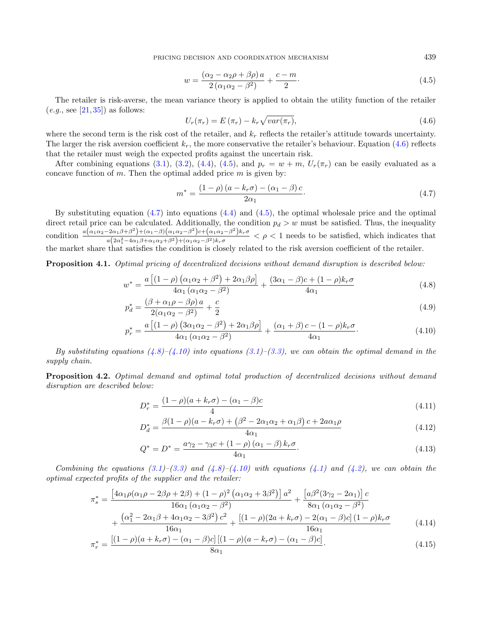<span id="page-6-0"></span>PRICING DECISION AND COORDINATION MECHANISM  $439$ 

<span id="page-6-2"></span><span id="page-6-1"></span>
$$
w = \frac{(\alpha_2 - \alpha_2 \rho + \beta \rho) a}{2 (\alpha_1 \alpha_2 - \beta^2)} + \frac{c - m}{2}.
$$
\n(4.5)

The retailer is risk-averse, the mean variance theory is applied to obtain the utility function of the retailer  $(e.g., \text{see } [21,35])$  $(e.g., \text{see } [21,35])$  $(e.g., \text{see } [21,35])$  $(e.g., \text{see } [21,35])$  as follows:

<span id="page-6-3"></span>
$$
U_r(\pi_r) = E(\pi_r) - k_r \sqrt{var(\pi_r)},
$$
\n(4.6)

where the second term is the risk cost of the retailer, and  $k_r$  reflects the retailer's attitude towards uncertainty. The larger the risk aversion coefficient  $k_r$ , the more conservative the retailer's behaviour. Equation [\(4.6\)](#page-6-0) reflects that the retailer must weigh the expected profits against the uncertain risk.

After combining equations [\(3.1\)](#page-5-1), [\(3.2\)](#page-5-2), [\(4.4\)](#page-5-4), [\(4.5\)](#page-6-1), and  $p_r = w + m$ ,  $U_r(\pi_r)$  can be easily evaluated as a concave function of  $m$ . Then the optimal added price  $m$  is given by:

<span id="page-6-4"></span>
$$
m^* = \frac{(1 - \rho)(a - k_r \sigma) - (\alpha_1 - \beta)c}{2\alpha_1}.
$$
\n(4.7)

By substituting equation  $(4.7)$  into equations  $(4.4)$  and  $(4.5)$ , the optimal wholesale price and the optimal direct retail price can be calculated. Additionally, the condition  $p_d > w$  must be satisfied. Thus, the inequality condition  $\frac{a(\alpha_1\alpha_2-2\alpha_1\beta+\beta^2)+(\alpha_1-\beta)(\alpha_1\alpha_2-\beta^2)c+(\alpha_1\alpha_2-\beta^2)k_r\sigma}{a(2\alpha_1^2+a_1\alpha_2c_1+\beta^2)(\alpha_1\alpha_2-\beta^2)k_r\sigma}$  $\frac{a_{\alpha_1\beta+\beta_1}^{\alpha_1} + (a_{1\alpha_2}^{\beta_1} + (a_{1\alpha_2}^{\beta_2} + a_{1\alpha_3}^{\beta_3} + a_{1\alpha_2}^{\beta_4} + a_{1\alpha_3}^{\beta_4} + a_{1\alpha_4}^{\beta_5} + a_{1\alpha_5}^{\beta_6} + a_{1\alpha_6}^{\beta_7} + a_{1\alpha_7}^{\beta_7} + a_{1\alpha_7}^{\beta_7} + a_{1\alpha_7}^{\beta_7} + a_{1\alpha_7}^{\beta_7} + a_{1\alpha_7}^{\beta_7} +$ the market share that satisfies the condition is closely related to the risk aversion coefficient of the retailer.

Proposition 4.1. Optimal pricing of decentralized decisions without demand disruption is described below:

$$
w^* = \frac{a\left[ (1-\rho)\left( \alpha_1 \alpha_2 + \beta^2 \right) + 2\alpha_1 \beta \rho \right]}{4\alpha_1 \left( \alpha_1 \alpha_2 - \beta^2 \right)} + \frac{(3\alpha_1 - \beta)c + (1-\rho)k_r \sigma}{4\alpha_1} \tag{4.8}
$$

$$
p_d^* = \frac{(\beta + \alpha_1 \rho - \beta \rho) a}{2(\alpha_1 \alpha_2 - \beta^2)} + \frac{c}{2}
$$
\n
$$
(4.9)
$$

$$
p_r^* = \frac{a\left[ (1 - \rho)\left( 3\alpha_1 \alpha_2 - \beta^2 \right) + 2\alpha_1 \beta \rho \right]}{4\alpha_1 \left( \alpha_1 \alpha_2 - \beta^2 \right)} + \frac{(\alpha_1 + \beta)c - (1 - \rho)k_r \sigma}{4\alpha_1}.
$$
 (4.10)

By substituting equations  $(4.8)$ – $(4.10)$  into equations  $(3.1)$ – $(3.3)$ , we can obtain the optimal demand in the supply chain.

<span id="page-6-5"></span>Proposition 4.2. Optimal demand and optimal total production of decentralized decisions without demand disruption are described below:

$$
D_r^* = \frac{(1 - \rho)(a + k_r \sigma) - (\alpha_1 - \beta)c}{4}
$$
\n(4.11)

$$
D_d^* = \frac{\beta(1 - \rho)(a - k_r \sigma) + (\beta^2 - 2\alpha_1 \alpha_2 + \alpha_1 \beta)c + 2a\alpha_1 \rho}{4\alpha_1}
$$
(4.12)

$$
Q^* = D^* = \frac{a\gamma_2 - \gamma_3 c + (1 - \rho)(\alpha_1 - \beta)k_r \sigma}{4\alpha_1}.
$$
\n(4.13)

Combining the equations  $(3.1)$ – $(3.3)$  and  $(4.8)$ – $(4.10)$  with equations  $(4.1)$  and  $(4.2)$ , we can obtain the optimal expected profits of the supplier and the retailer:

$$
\pi_s^* = \frac{\left[4\alpha_1\rho(\alpha_1\rho - 2\beta\rho + 2\beta) + (1-\rho)^2(\alpha_1\alpha_2 + 3\beta^2)\right]a^2}{16\alpha_1(\alpha_1\alpha_2 - \beta^2)} + \frac{\left[a\beta^2(3\gamma_2 - 2\alpha_1)\right]c}{8\alpha_1(\alpha_1\alpha_2 - \beta^2)} + \frac{\left(\alpha_1^2 - 2\alpha_1\beta + 4\alpha_1\alpha_2 - 3\beta^2\right)c^2}{16\alpha_1(\alpha_1\alpha_2 - \beta^2)} + \frac{\left[ (1-\rho)(2a + k_r\sigma) - 2(\alpha_1 - \beta)c \right] (1-\rho)k_r\sigma}{16\alpha_1(\alpha_1\alpha_2 - \beta^2)} \tag{4.14}
$$

$$
\pi_r^* = \frac{\left[ (1 - \rho)(a + k_r \sigma) - (\alpha_1 - \beta)c \right] \left[ (1 - \rho)(a - k_r \sigma) - (\alpha_1 - \beta)c \right]}{8\alpha_1}.
$$
\n(4.15)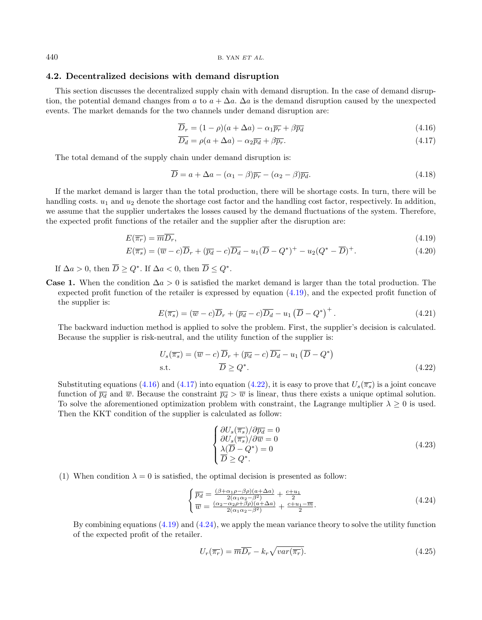## <span id="page-7-6"></span>4.2. Decentralized decisions with demand disruption

This section discusses the decentralized supply chain with demand disruption. In the case of demand disruption, the potential demand changes from a to  $a + \Delta a$ .  $\Delta a$  is the demand disruption caused by the unexpected events. The market demands for the two channels under demand disruption are:

<span id="page-7-5"></span><span id="page-7-2"></span><span id="page-7-1"></span>
$$
\overline{D}_r = (1 - \rho)(a + \Delta a) - \alpha_1 \overline{p_r} + \beta \overline{p_d}
$$
\n(4.16)

<span id="page-7-0"></span>
$$
\overline{D_d} = \rho(a + \Delta a) - \alpha_2 \overline{p_d} + \beta \overline{p_r}.
$$
\n(4.17)

The total demand of the supply chain under demand disruption is:

<span id="page-7-3"></span>
$$
\overline{D} = a + \Delta a - (\alpha_1 - \beta)\overline{p_r} - (\alpha_2 - \beta)\overline{p_d}.
$$
\n(4.18)

If the market demand is larger than the total production, there will be shortage costs. In turn, there will be handling costs.  $u_1$  and  $u_2$  denote the shortage cost factor and the handling cost factor, respectively. In addition, we assume that the supplier undertakes the losses caused by the demand fluctuations of the system. Therefore, the expected profit functions of the retailer and the supplier after the disruption are:

$$
E(\overline{\pi_r}) = \overline{m} \overline{D_r},\tag{4.19}
$$

$$
E(\overline{\pi_s}) = (\overline{w} - c)\overline{D}_r + (\overline{p_d} - c)\overline{D_d} - u_1(\overline{D} - Q^*)^+ - u_2(Q^* - \overline{D})^+.
$$
\n(4.20)

If  $\Delta a > 0$ , then  $\overline{D} \geq Q^*$ . If  $\Delta a < 0$ , then  $\overline{D} \leq Q^*$ .

**Case 1.** When the condition  $\Delta a > 0$  is satisfied the market demand is larger than the total production. The expected profit function of the retailer is expressed by equation [\(4.19\)](#page-7-0), and the expected profit function of the supplier is:

$$
E(\overline{\pi_s}) = (\overline{w} - c)\overline{D}_r + (\overline{p_d} - c)\overline{D_d} - u_1(\overline{D} - Q^*)^+.
$$
\n(4.21)

The backward induction method is applied to solve the problem. First, the supplier's decision is calculated. Because the supplier is risk-neutral, and the utility function of the supplier is:

$$
U_s(\overline{\pi_s}) = (\overline{w} - c)\overline{D}_r + (\overline{p_d} - c)\overline{D}_d - u_1(\overline{D} - Q^*)
$$
  
s.t. 
$$
\overline{D} \ge Q^*.
$$
 (4.22)

Substituting equations [\(4.16\)](#page-7-1) and [\(4.17\)](#page-7-2) into equation [\(4.22\)](#page-7-3), it is easy to prove that  $U_s(\overline{\pi_s})$  is a joint concave function of  $\overline{p_d}$  and  $\overline{w}$ . Because the constraint  $\overline{p_d} > \overline{w}$  is linear, thus there exists a unique optimal solution. To solve the aforementioned optimization problem with constraint, the Lagrange multiplier  $\lambda \geq 0$  is used. Then the KKT condition of the supplier is calculated as follow:

<span id="page-7-4"></span>
$$
\begin{cases}\n\frac{\partial U_s(\overline{\pi_s})}{\partial \overline{v}_s(\overline{\pi_s})}/\partial \overline{p_d} = 0 \\
\frac{\lambda(\overline{D} - Q^*)}{\overline{D} \geq Q^*} = 0 \\
\end{cases}
$$
\n(4.23)

(1) When condition  $\lambda = 0$  is satisfied, the optimal decision is presented as follow:

$$
\begin{cases}\n\overline{p_d} = \frac{(\beta + \alpha_1 \rho - \beta \rho)(a + \Delta a)}{2(\alpha_1 \alpha_2 - \beta^2)} + \frac{c + u_1}{2} \\
\overline{w} = \frac{(\alpha_2 - \alpha_2 \rho + \beta \rho)(a + \Delta a)}{2(\alpha_1 \alpha_2 - \beta^2)} + \frac{c + u_1 - \overline{m}}{2}.\n\end{cases}
$$
\n(4.24)

By combining equations  $(4.19)$  and  $(4.24)$ , we apply the mean variance theory to solve the utility function of the expected profit of the retailer.

$$
U_r(\overline{\pi_r}) = \overline{m} \overline{D_r} - k_r \sqrt{var(\overline{\pi_r})}.
$$
\n(4.25)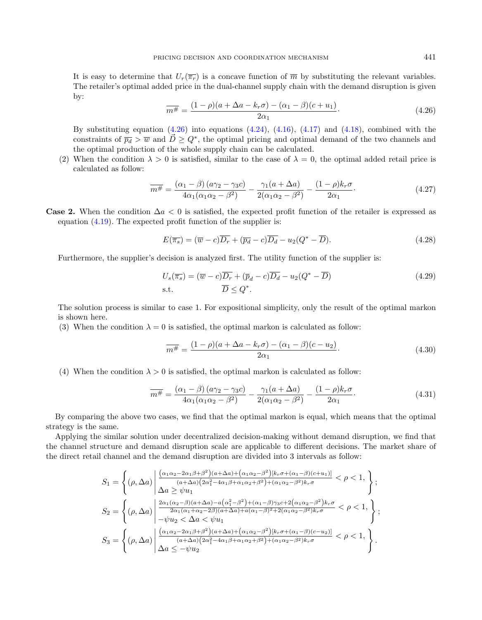<span id="page-8-0"></span>It is easy to determine that  $U_r(\overline{\pi_r})$  is a concave function of  $\overline{m}$  by substituting the relevant variables. The retailer's optimal added price in the dual-channel supply chain with the demand disruption is given by:

$$
\overline{m^{\#}} = \frac{(1 - \rho)(a + \Delta a - k_r \sigma) - (\alpha_1 - \beta)(c + u_1)}{2\alpha_1}.
$$
\n(4.26)

By substituting equation  $(4.26)$  into equations  $(4.24)$ ,  $(4.16)$ ,  $(4.17)$  and  $(4.18)$ , combined with the constraints of  $\overline{p_d} > \overline{w}$  and  $\overrightarrow{D} \geq Q^*$ , the optimal pricing and optimal demand of the two channels and the optimal production of the whole supply chain can be calculated.

(2) When the condition  $\lambda > 0$  is satisfied, similar to the case of  $\lambda = 0$ , the optimal added retail price is calculated as follow:

$$
\overline{m^{\#}} = \frac{(\alpha_1 - \beta)(a\gamma_2 - \gamma_3 c)}{4\alpha_1(\alpha_1\alpha_2 - \beta^2)} - \frac{\gamma_1(a + \Delta a)}{2(\alpha_1\alpha_2 - \beta^2)} - \frac{(1 - \rho)k_r\sigma}{2\alpha_1}.
$$
\n(4.27)

**Case 2.** When the condition  $\Delta a < 0$  is satisfied, the expected profit function of the retailer is expressed as equation [\(4.19\)](#page-7-0). The expected profit function of the supplier is:

$$
E(\overline{\pi_s}) = (\overline{w} - c)\overline{D_r} + (\overline{p_d} - c)\overline{D_d} - u_2(Q^* - \overline{D}).
$$
\n(4.28)

Furthermore, the supplier's decision is analyzed first. The utility function of the supplier is:

$$
U_s(\overline{\pi_s}) = (\overline{w} - c)\overline{D_r} + (\overline{p}_d - c)\overline{D_d} - u_2(Q^* - \overline{D})
$$
\n
$$
\text{s.t.} \qquad \overline{D} \le Q^*.
$$
\n
$$
(4.29)
$$

The solution process is similar to case 1. For expositional simplicity, only the result of the optimal markon is shown here.

(3) When the condition  $\lambda = 0$  is satisfied, the optimal markon is calculated as follow:

$$
\overline{m^{\#}} = \frac{(1 - \rho)(a + \Delta a - k_r \sigma) - (\alpha_1 - \beta)(c - u_2)}{2\alpha_1}.
$$
\n(4.30)

(4) When the condition  $\lambda > 0$  is satisfied, the optimal markon is calculated as follow:

$$
\overline{m^{\#}} = \frac{(\alpha_1 - \beta)(a\gamma_2 - \gamma_3 c)}{4\alpha_1(\alpha_1\alpha_2 - \beta^2)} - \frac{\gamma_1(a + \Delta a)}{2(\alpha_1\alpha_2 - \beta^2)} - \frac{(1 - \rho)k_r\sigma}{2\alpha_1}.
$$
\n(4.31)

By comparing the above two cases, we find that the optimal markon is equal, which means that the optimal strategy is the same.

Applying the similar solution under decentralized decision-making without demand disruption, we find that the channel structure and demand disruption scale are applicable to different decisions. The market share of the direct retail channel and the demand disruption are divided into 3 intervals as follow:

$$
S_1 = \left\{ (\rho, \Delta a) \middle| \frac{(\alpha_1 \alpha_2 - 2\alpha_1 \beta + \beta^2)(a + \Delta a) + (\alpha_1 \alpha_2 - \beta^2)[k_r \sigma + (\alpha_1 - \beta)(c + u_1)]}{(a + \Delta a)(2\alpha_1^2 - 4\alpha_1 \beta + \alpha_1 \alpha_2 + \beta^2) + (\alpha_1 \alpha_2 - \beta^2)k_r \sigma} < \rho < 1, \right\};
$$
\n
$$
S_2 = \left\{ (\rho, \Delta a) \middle| \frac{2\alpha_1(\alpha_2 - \beta)(a + \Delta a) - a(\alpha_1^2 - \beta^2) + (\alpha_1 - \beta)\gamma_3 c + 2(\alpha_1 \alpha_2 - \beta^2)k_r \sigma}{2\alpha_1(\alpha_1 + \alpha_2 - 2\beta)(a + \Delta a) + a(\alpha_1 - \beta)^2 + 2(\alpha_1 \alpha_2 - \beta^2)k_r \sigma} < \rho < 1, \right\};
$$
\n
$$
S_3 = \left\{ (\rho, \Delta a) \middle| \frac{(\alpha_1 \alpha_2 - 2\alpha_1 \beta + \beta^2)(a + \Delta a) + (\alpha_1 \alpha_2 - \beta^2)[k_r \sigma + (\alpha_1 - \beta)(c - u_2)]}{(a + \Delta a)(2\alpha_1^2 - 4\alpha_1 \beta + \alpha_1 \alpha_2 + \beta^2) + (\alpha_1 \alpha_2 - \beta^2)k_r \sigma} < \rho < 1, \right\}.
$$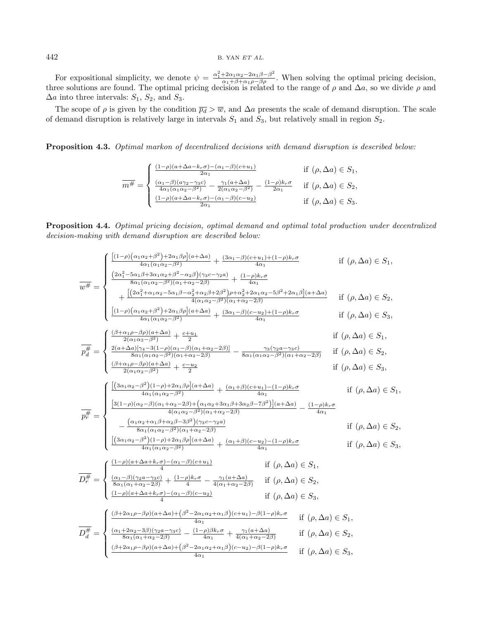For expositional simplicity, we denote  $\psi = \frac{\alpha_1^2 + 2\alpha_1\alpha_2 - 2\alpha_1\beta - \beta^2}{\alpha_1 + \beta + \alpha_1\rho - \beta\rho}$ . When solving the optimal pricing decision, three solutions are found. The optimal pricing decision is related to the range of  $\rho$  and  $\Delta a$ , so we divide  $\rho$  and  $\Delta a$  into three intervals:  $S_1$ ,  $S_2$ , and  $S_3$ .

The scope of  $\rho$  is given by the condition  $\overline{p_d} > \overline{w}$ , and  $\Delta a$  presents the scale of demand disruption. The scale of demand disruption is relatively large in intervals  $S_1$  and  $S_3$ , but relatively small in region  $S_2$ .

Proposition 4.3. Optimal markon of decentralized decisions with demand disruption is described below:

$$
\overline{m^{\#}} = \begin{cases}\n\frac{(1-\rho)(a+\Delta a-k_r\sigma) - (\alpha_1-\beta)(c+u_1)}{2\alpha_1} & \text{if } (\rho, \Delta a) \in S_1, \\
\frac{(\alpha_1-\beta)(a\gamma_2-\gamma_3c)}{4\alpha_1(\alpha_1\alpha_2-\beta^2)} - \frac{\gamma_1(a+\Delta a)}{2(\alpha_1\alpha_2-\beta^2)} - \frac{(1-\rho)k_r\sigma}{2\alpha_1} & \text{if } (\rho, \Delta a) \in S_2, \\
\frac{(1-\rho)(a+\Delta a-k_r\sigma) - (\alpha_1-\beta)(c-u_2)}{2\alpha_1} & \text{if } (\rho, \Delta a) \in S_3.\n\end{cases}
$$

Proposition 4.4. Optimal pricing decision, optimal demand and optimal total production under decentralized decision-making with demand disruption are described below:

$$
\overline{w^{\#}} = \begin{cases}\n\frac{[(1-\rho)(\alpha_{1}\alpha_{2}+\beta^{2})+2\alpha_{1}\beta\rho](a+\Delta a)}{4\alpha_{1}(\alpha_{1}\alpha_{2}-\beta^{2})} + \frac{(3\alpha_{1}-\beta)(c+u_{1})+(1-\rho)k_{r}\sigma}{4\alpha_{1}} & \text{if } (\rho,\Delta a) \in S_{1}, \\
\frac{(2\alpha_{1}^{2}-5\alpha_{1}\beta+3\alpha_{1}\alpha_{2}+\beta^{2}-\alpha_{2}\beta)(\gamma_{3}-\gamma_{2}a)}{8\alpha_{1}(\alpha_{1}\alpha_{2}-\beta^{2})} + \frac{(1-\rho)k_{r}\sigma}{4(\alpha_{1}\alpha_{2}-\beta^{2})} & \text{if } (\rho,\Delta a) \in S_{2}, \\
\frac{[(1-\rho)(\alpha_{1}\alpha_{2}+\beta^{2})+2\alpha_{1}\beta\rho](a+\Delta a)}{4\alpha_{1}(\alpha_{1}\alpha_{2}-\beta^{2})} + \frac{(3\alpha_{1}-\beta)(c-u_{2})+(1-\rho)k_{r}\sigma}{4\alpha_{1}} & \text{if } (\rho,\Delta a) \in S_{2}, \\
\frac{[(1-\rho)(\alpha_{1}\alpha_{2}+\beta^{2})+2\alpha_{1}\beta\rho](a+\Delta a)}{4\alpha_{1}(\alpha_{1}\alpha_{2}-\beta^{2})} + \frac{(3\alpha_{1}-\beta)(c-u_{2})+(1-\rho)k_{r}\sigma}{4\alpha_{1}} & \text{if } (\rho,\Delta a) \in S_{3}, \\
\frac{(\beta+\alpha_{1}\rho-\beta\rho)(a+\Delta a)}{8\alpha_{1}(\alpha_{1}\alpha_{2}-\beta^{2})} + \frac{c+u_{1}}{2} & \text{if } (\rho,\Delta a) \in S_{1}, \\
\frac{(\beta+\alpha_{1}\rho-\beta\rho)(a+\Delta a)}{2(\alpha_{1}\alpha_{2}-\beta^{2})} + \frac{c-u_{2}}{2} & \text{if } (\rho,\Delta a) \in S_{2}, \\
\frac{(\beta+\alpha_{1}\rho-\beta\rho)(a+\Delta a)}{2\alpha_{1}\alpha_{2}-\beta^{2}} + \frac{c-u_{2}}{2} & \text{if } (\rho,\Delta a) \in S_{3}, \\
\frac{(\beta+\alpha_{1}\rho-\beta\rho)(a+\Delta a)}{2\alpha_{1}\alpha_{2}-\beta^{2}} + \frac{c-u_{2}}{2} & \text{if } (\rho,\Delta a) \in S
$$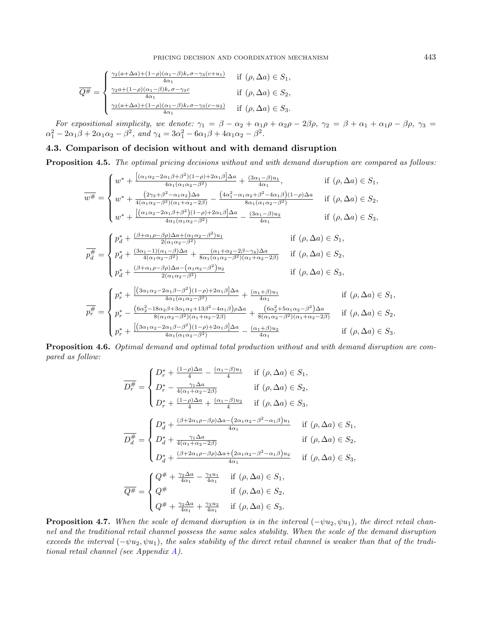$$
\overline{Q^{\#}} = \begin{cases}\n\frac{\gamma_2(a + \Delta a) + (1 - \rho)(\alpha_1 - \beta)k_r \sigma - \gamma_3(c + u_1)}{4\alpha_1} & \text{if } (\rho, \Delta a) \in S_1, \\
\frac{\gamma_2 a + (1 - \rho)(\alpha_1 - \beta)k_r \sigma - \gamma_3 c}{4\alpha_1} & \text{if } (\rho, \Delta a) \in S_2, \\
\frac{\gamma_2(a + \Delta a) + (1 - \rho)(\alpha_1 - \beta)k_r \sigma - \gamma_3(c - u_2)}{4\alpha_1} & \text{if } (\rho, \Delta a) \in S_3.\n\end{cases}
$$

For expositional simplicity, we denote:  $\gamma_1 = \beta - \alpha_2 + \alpha_1 \rho + \alpha_2 \rho - 2\beta \rho$ ,  $\gamma_2 = \beta + \alpha_1 + \alpha_1 \rho - \beta \rho$ ,  $\gamma_3 =$  $\alpha_1^2 - 2\alpha_1\beta + 2\alpha_1\alpha_2 - \beta^2$ , and  $\gamma_4 = 3\alpha_1^2 - 6\alpha_1\beta + 4\alpha_1\alpha_2 - \beta^2$ .

# 4.3. Comparison of decision without and with demand disruption

<span id="page-10-1"></span>Proposition 4.5. The optimal pricing decisions without and with demand disruption are compared as follows:

$$
\overline{w^{\#}} = \begin{cases}\nw^* + \frac{\left[ (\alpha_1 \alpha_2 - 2\alpha_1 \beta + \beta^2)(1-\rho) + 2\alpha_1 \beta \right] \Delta a}{4\alpha_1 (\alpha_1 \alpha_2 - \beta^2)} + \frac{(3\alpha_1 - \beta)u_1}{4\alpha_1}, & \text{if } (\rho, \Delta a) \in S_1, \\
w^* + \frac{(2\gamma_3 + \beta^2 - \alpha_1 \alpha_2)\Delta a}{4(\alpha_1 \alpha_2 - \beta^2)(\alpha_1 + \alpha_2 - 2\beta)} - \frac{(4\alpha_1^2 - \alpha_1 \alpha_2 + \beta^2 - 4\alpha_1 \beta)(1-\rho)\Delta a}{8\alpha_1 (\alpha_1 \alpha_2 - \beta^2)} & \text{if } (\rho, \Delta a) \in S_2, \\
w^* + \frac{\left[ (\alpha_1 \alpha_2 - 2\alpha_1 \beta + \beta^2)(1-\rho) + 2\alpha_1 \beta \right] \Delta a}{4\alpha_1 (\alpha_1 \alpha_2 - \beta^2)} - \frac{(3\alpha_1 - \beta)u_2}{4\alpha_1} & \text{if } (\rho, \Delta a) \in S_3, \\
\frac{p_4^*}{d} = \begin{cases}\np_4^* + \frac{(\beta + \alpha_1 \rho - \beta \rho) \Delta a + (\alpha_1 \alpha_2 - \beta^2)u_1}{2(\alpha_1 \alpha_2 - \beta^2)} & \text{if } (\rho, \Delta a) \in S_1, \\
p_4^* + \frac{(3\alpha_1 - 1)(\alpha_1 - \beta) \Delta a}{4(\alpha_1 \alpha_2 - \beta^2)} + \frac{(\alpha_1 + \alpha_2 - 2\beta - \gamma_4)\Delta a}{8\alpha_1 (\alpha_1 \alpha_2 - \beta^2)(\alpha_1 + \alpha_2 - 2\beta)} & \text{if } (\rho, \Delta a) \in S_2,\n\end{cases}
$$

$$
\begin{cases} p_d^* + \frac{(\beta + \alpha_1 \rho - \beta \rho) \Delta a - (\alpha_1 \alpha_2 - \beta^2) u_2}{2(\alpha_1 \alpha_2 - \beta^2)} & \text{if } (\rho, \Delta a) \in S_3, \end{cases}
$$

$$
\overline{p_r^{\#}} = \begin{cases}\n p_r^* + \frac{\left[ (3\alpha_1\alpha_2 - 2\alpha_1\beta - \beta^2)(1-\rho) + 2\alpha_1\beta \right]\Delta a}{4\alpha_1(\alpha_1\alpha_2 - \beta^2)} + \frac{(\alpha_1 + \beta)u_1}{4\alpha_1} & \text{if } (\rho, \Delta a) \in S_1, \\
 p_r^* - \frac{(6\alpha_2^2 - 18\alpha_2\beta + 3\alpha_1\alpha_2 + 13\beta^2 - 4\alpha_1\beta)\rho\Delta a}{8(\alpha_1\alpha_2 - \beta^2)(\alpha_1 + \alpha_2 - 2\beta)} + \frac{(6\alpha_2^2 + 5\alpha_1\alpha_2 - \beta^2)\Delta a}{8(\alpha_1\alpha_2 - \beta^2)(\alpha_1 + \alpha_2 - 2\beta)} & \text{if } (\rho, \Delta a) \in S_2, \\
 p_r^* + \frac{\left[ (3\alpha_1\alpha_2 - 2\alpha_1\beta - \beta^2)(1-\rho) + 2\alpha_1\beta \right]\Delta a}{4\alpha_1(\alpha_1\alpha_2 - \beta^2)} - \frac{(\alpha_1 + \beta)u_2}{4\alpha_1} & \text{if } (\rho, \Delta a) \in S_3.\n\end{cases}
$$

Proposition 4.6. Optimal demand and optimal total production without and with demand disruption are compared as follow:

$$
\overline{D_{r}^{\#}} = \begin{cases}\nD_{r}^{*} + \frac{(1-\rho)\Delta a}{4} - \frac{(\alpha_{1}-\beta)u_{1}}{4} & \text{if } (\rho, \Delta a) \in S_{1}, \\
D_{r}^{*} - \frac{\gamma_{1}\Delta a}{4(\alpha_{1}+\alpha_{2}-2\beta)} & \text{if } (\rho, \Delta a) \in S_{2}, \\
D_{r}^{*} + \frac{(1-\rho)\Delta a}{4} + \frac{(\alpha_{1}-\beta)u_{2}}{4} & \text{if } (\rho, \Delta a) \in S_{3}, \\
\overline{D_{d}^{\#}} = \begin{cases}\nD_{d}^{*} + \frac{(\beta+2\alpha_{1}\rho-\beta\rho)\Delta a - (2\alpha_{1}\alpha_{2}-\beta^{2}-\alpha_{1}\beta)u_{1}}{4\alpha_{1}} & \text{if } (\rho, \Delta a) \in S_{1}, \\
D_{d}^{*} + \frac{\gamma_{1}\Delta a}{4(\alpha_{1}+\alpha_{2}-2\beta)} & \text{if } (\rho, \Delta a) \in S_{2}, \\
D_{d}^{*} + \frac{(\beta+2\alpha_{1}\rho-\beta\rho)\Delta a + (2\alpha_{1}\alpha_{2}-\beta^{2}-\alpha_{1}\beta)u_{2}}{4\alpha_{1}} & \text{if } (\rho, \Delta a) \in S_{3}, \\
\overline{Q^{\#}} = \begin{cases}\nQ^{\#} + \frac{\gamma_{2}\Delta a}{4\alpha_{1}} - \frac{\gamma_{3}u_{1}}{4\alpha_{1}} & \text{if } (\rho, \Delta a) \in S_{1}, \\
Q^{\#} & \text{if } (\rho, \Delta a) \in S_{2}, \\
Q^{\#} + \frac{\gamma_{2}\Delta a}{4\alpha_{1}} + \frac{\gamma_{3}u_{2}}{4\alpha_{1}} & \text{if } (\rho, \Delta a) \in S_{3}.\n\end{cases}\n\end{cases}
$$

<span id="page-10-0"></span>**Proposition 4.7.** When the scale of demand disruption is in the interval  $(-\psi u_2, \psi u_1)$ , the direct retail channel and the traditional retail channel possess the same sales stability. When the scale of the demand disruption exceeds the interval  $(-\psi u_2, \psi u_1)$ , the sales stability of the direct retail channel is weaker than that of the traditional retail channel (see Appendix [A\)](#page-21-0).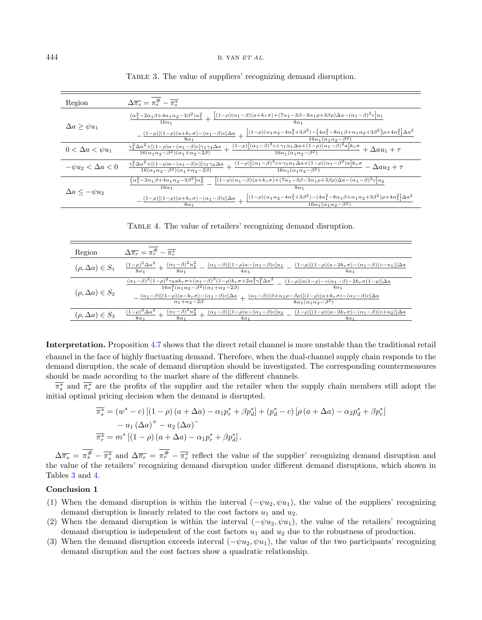| Region                     | $\Delta \overline{\pi_s} = \pi_s^{\#} - \overline{\pi_s^*}$                                                                                                                                                                                                                                                                                 |
|----------------------------|---------------------------------------------------------------------------------------------------------------------------------------------------------------------------------------------------------------------------------------------------------------------------------------------------------------------------------------------|
| $\Delta a \geq \psi u_1$   | $\frac{(\alpha_1^2-2\alpha_1\beta+4\alpha_1\alpha_2-3\beta^2)u_1^2}{16\alpha_1}+\frac{\left[(1-\rho)(\alpha_1-\beta)(a+k_r\sigma)+\left(7\alpha_1-3\beta-3\alpha_1\rho+3\beta\rho\right)\Delta a-\left(\alpha_1-\beta\right)^2c\right]u_1}{8\alpha}.$                                                                                       |
|                            | $-\frac{(1-\rho)[(1-\rho)(a+k_r\sigma)-(\alpha_1-\beta)c]\Delta a}{8\alpha_1}+\frac{\left[(1-\rho)(\alpha_1\alpha_2-4\alpha_1^2+3\beta^2)-\left(4\alpha_1^2-8\alpha_1\beta+\alpha_1\alpha_2+3\beta^2\right)\rho+4\alpha_1^2\right]\Delta a^2}{12\alpha_1^2}$                                                                                |
| $0 < \Delta a < \psi u_1$  | $\frac{\gamma_1^2\Delta a^2 + \left[ (1-\rho)a - (\alpha_1-\beta)c\right]\gamma_1\gamma_4\Delta a}{16(\alpha_1\alpha_2-\beta^2)(\alpha_1+\alpha_2-2\beta)} + \frac{(1-\rho)\left[ (\alpha_1-\beta)^3c + \gamma_1\alpha_1\Delta a + (1-\rho)(\alpha_1-\beta)^2a\right]k_r\sigma}{16\alpha_1(\alpha_1\alpha_2-\beta^2)} + \Delta au_1 + \tau$ |
| $-\psi u_2 < \Delta a < 0$ | $\frac{\gamma_1^2\Delta a^2+[(1-\rho)a-(\alpha_1-\beta)c)]\gamma_1\gamma_4\Delta a}{16(\alpha_1\alpha_2-\beta^2)(\alpha_1+\alpha_2-2\beta)}+\frac{(1-\rho)\big[(\alpha_1-\beta)^3c+\gamma_1\alpha_1\Delta a+(1-\rho)(\alpha_1-\beta^2)a\big]k_r\sigma}{16\alpha_1(\alpha_1\alpha_2-\beta^2)}-\Delta au_2+\tau$                              |
| $\Delta a \leq -\psi u_2$  | $\left[\alpha_1^2-2\alpha_1\beta+4\alpha_1\alpha_2-3\beta^2\right]u_2^2 \qquad \left[(1-\rho)(\alpha_1-\beta)(a+k_r\sigma)+\left(7\alpha_1-3\beta-3\alpha_1\rho+3\beta\rho\right)\Delta a-\left(\alpha_1-\beta\right)^2c\right]u_2$<br>$16\alpha_1$                                                                                         |
|                            | $-\frac{(1-\rho)[(1-\rho)(a+k_r\sigma)-(\alpha_1-\beta)c]\Delta a}{8\alpha_1}+\frac{\left[(1-\rho)(\alpha_1\alpha_2-4\alpha_1^2+3\beta^2)-(4\alpha_1^2-8\alpha_1\beta+\alpha_1\alpha_2+3\beta^2)\rho+4\alpha_1^2\right]\Delta a^2}{16\alpha_1}$                                                                                             |

<span id="page-11-1"></span><span id="page-11-0"></span>TABLE 3. The value of suppliers' recognizing demand disruption.

TABLE 4. The value of retailers' recognizing demand disruption.

| Region                     | $\Delta \overline{\pi_r} = \pi_r^{\#} - \overline{\pi_r^*}$                                                                                                                                                                                                                                                                                                                                                                                    |                                                                                                                                          |
|----------------------------|------------------------------------------------------------------------------------------------------------------------------------------------------------------------------------------------------------------------------------------------------------------------------------------------------------------------------------------------------------------------------------------------------------------------------------------------|------------------------------------------------------------------------------------------------------------------------------------------|
| $(\rho, \Delta a) \in S_1$ | $\frac{(1-\rho)^2\Delta a^2}{8\alpha_1}+\frac{(\alpha_1-\beta)^2u_1^2}{8\alpha_1}-\frac{(\alpha_1-\beta)[(1-\rho)a-(\alpha_1-\beta)c]u_1}{4\alpha_1}$                                                                                                                                                                                                                                                                                          | $(1-\rho)[(1-\rho)(a-2k_r\sigma)-(\alpha_1-\beta)(c-u_1)]\Delta a$<br>$4\alpha_1$                                                        |
| $(\rho, \Delta a) \in S_2$ | $(\alpha_1-\beta)^2(1-\rho)^2\gamma_3ak_r\sigma+(\alpha_1-\beta)^3(1-\rho)k_r\sigma+2\alpha_1^2\gamma_1^2\Delta a^2$<br>$16\alpha_1^2(\alpha_1\alpha_2-\beta^2)(\alpha_1+\alpha_2-2\beta)$<br>$\frac{(\alpha_1-\beta)[(1-\rho)(a-k_r\sigma)-(\alpha_1-\beta)c]\Delta a}{\alpha_1+\alpha_2-2\beta}+\frac{(\alpha_1-\beta)(\beta+\alpha_1\rho-\beta\rho)[(1-\rho)(a+k_r\sigma)-(\alpha_1-\beta)c]\Delta a}{8\alpha_1(\alpha_1\alpha_2-\beta^2)}$ | $(1-\rho) a(1-\rho)-c(\alpha_1-\beta)-2k_r\sigma(1-\rho) \Delta a $<br>$4\alpha_1$<br>$\sqrt{8\alpha_1(\alpha_1\alpha_2-\beta^2)}$       |
| $(\rho, \Delta a) \in S_3$ | $(\alpha_1-\beta)^2u_2^2$<br>$\left(1-\rho\right)^2 \overline{\Delta a^2}$<br>$8\alpha_1$<br>$8\alpha_1$<br>$4\alpha_1$                                                                                                                                                                                                                                                                                                                        | $(\alpha_1-\beta)[(1-\rho)a-(\alpha_1-\beta)c]u_2$ $(1-\rho)[(1-\rho)(a-2k_r\sigma)-(\alpha_1-\beta)(c+u_2)]\Delta a$<br>40 <sub>1</sub> |

Interpretation. Proposition [4.7](#page-10-0) shows that the direct retail channel is more unstable than the traditional retail channel in the face of highly fluctuating demand. Therefore, when the dual-channel supply chain responds to the demand disruption, the scale of demand disruption should be investigated. The corresponding countermeasures should be made according to the market share of the different channels.

 $\overline{\pi_s^*}$  and  $\overline{\pi_r^*}$  are the profits of the supplier and the retailer when the supply chain members still adopt the initial optimal pricing decision when the demand is disrupted.

$$
\overline{\pi_s^*} = (w^* - c) [(1 - \rho) (a + \Delta a) - \alpha_1 p_r^* + \beta p_d^*] + (p_d^* - c) [\rho (a + \Delta a) - \alpha_2 p_d^* + \beta p_r^*] \n- u_1 (\Delta a)^+ - u_2 (\Delta a)^- \n\overline{\pi_r^*} = m^* [(1 - \rho) (a + \Delta a) - \alpha_1 p_r^* + \beta p_d^*].
$$

 $\Delta \overline{\pi_s} = \pi_s^{\#} - \overline{\pi_s^*}$  and  $\Delta \overline{\pi_r} = \pi_r^{\#} - \overline{\pi_r^*}$  reflect the value of the supplier' recognizing demand disruption and the value of the retailers' recognizing demand disruption under different demand disruptions, which shown in Tables [3](#page-11-0) and [4.](#page-11-1)

#### Conclusion 1

- (1) When the demand disruption is within the interval  $(-\psi u_2, \psi u_1)$ , the value of the suppliers' recognizing demand disruption is linearly related to the cost factors  $u_1$  and  $u_2$ .
- (2) When the demand disruption is within the interval  $(-\psi u_2, \psi u_1)$ , the value of the retailers' recognizing demand disruption is independent of the cost factors  $u_1$  and  $u_2$  due to the robustness of production.
- (3) When the demand disruption exceeds interval  $(-\psi u_2, \psi u_1)$ , the value of the two participants' recognizing demand disruption and the cost factors show a quadratic relationship.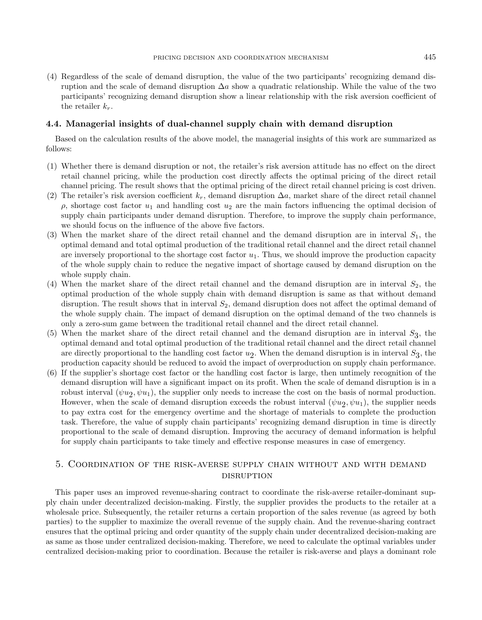(4) Regardless of the scale of demand disruption, the value of the two participants' recognizing demand disruption and the scale of demand disruption  $\Delta a$  show a quadratic relationship. While the value of the two participants' recognizing demand disruption show a linear relationship with the risk aversion coefficient of the retailer  $k_r$ .

#### 4.4. Managerial insights of dual-channel supply chain with demand disruption

Based on the calculation results of the above model, the managerial insights of this work are summarized as follows:

- (1) Whether there is demand disruption or not, the retailer's risk aversion attitude has no effect on the direct retail channel pricing, while the production cost directly affects the optimal pricing of the direct retail channel pricing. The result shows that the optimal pricing of the direct retail channel pricing is cost driven.
- (2) The retailer's risk aversion coefficient  $k_r$ , demand disruption  $\Delta a$ , market share of the direct retail channel  $ρ$ , shortage cost factor  $u_1$  and handling cost  $u_2$  are the main factors influencing the optimal decision of supply chain participants under demand disruption. Therefore, to improve the supply chain performance, we should focus on the influence of the above five factors.
- (3) When the market share of the direct retail channel and the demand disruption are in interval  $S_1$ , the optimal demand and total optimal production of the traditional retail channel and the direct retail channel are inversely proportional to the shortage cost factor  $u_1$ . Thus, we should improve the production capacity of the whole supply chain to reduce the negative impact of shortage caused by demand disruption on the whole supply chain.
- (4) When the market share of the direct retail channel and the demand disruption are in interval  $S_2$ , the optimal production of the whole supply chain with demand disruption is same as that without demand disruption. The result shows that in interval  $S_2$ , demand disruption does not affect the optimal demand of the whole supply chain. The impact of demand disruption on the optimal demand of the two channels is only a zero-sum game between the traditional retail channel and the direct retail channel.
- (5) When the market share of the direct retail channel and the demand disruption are in interval  $S_3$ , the optimal demand and total optimal production of the traditional retail channel and the direct retail channel are directly proportional to the handling cost factor  $u_2$ . When the demand disruption is in interval  $S_3$ , the production capacity should be reduced to avoid the impact of overproduction on supply chain performance.
- (6) If the supplier's shortage cost factor or the handling cost factor is large, then untimely recognition of the demand disruption will have a significant impact on its profit. When the scale of demand disruption is in a robust interval  $(\psi u_2, \psi u_1)$ , the supplier only needs to increase the cost on the basis of normal production. However, when the scale of demand disruption exceeds the robust interval  $(\psi u_2, \psi u_1)$ , the supplier needs to pay extra cost for the emergency overtime and the shortage of materials to complete the production task. Therefore, the value of supply chain participants' recognizing demand disruption in time is directly proportional to the scale of demand disruption. Improving the accuracy of demand information is helpful for supply chain participants to take timely and effective response measures in case of emergency.

# <span id="page-12-0"></span>5. Coordination of the risk-averse supply chain without and with demand **DISRUPTION**

This paper uses an improved revenue-sharing contract to coordinate the risk-averse retailer-dominant supply chain under decentralized decision-making. Firstly, the supplier provides the products to the retailer at a wholesale price. Subsequently, the retailer returns a certain proportion of the sales revenue (as agreed by both parties) to the supplier to maximize the overall revenue of the supply chain. And the revenue-sharing contract ensures that the optimal pricing and order quantity of the supply chain under decentralized decision-making are as same as those under centralized decision-making. Therefore, we need to calculate the optimal variables under centralized decision-making prior to coordination. Because the retailer is risk-averse and plays a dominant role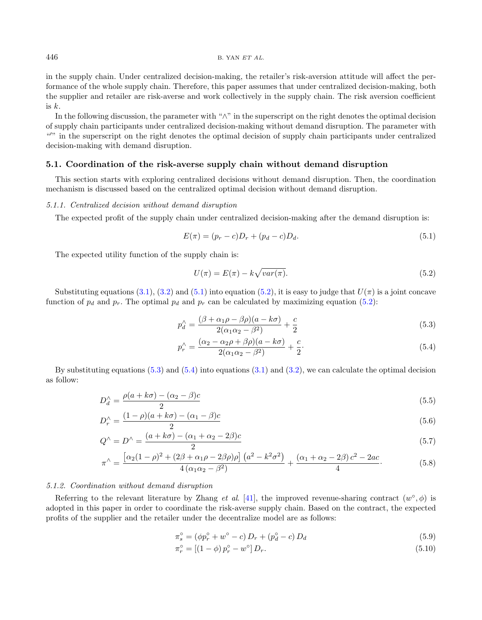in the supply chain. Under centralized decision-making, the retailer's risk-aversion attitude will affect the performance of the whole supply chain. Therefore, this paper assumes that under centralized decision-making, both the supplier and retailer are risk-averse and work collectively in the supply chain. The risk aversion coefficient is k.

In the following discussion, the parameter with "∧" in the superscript on the right denotes the optimal decision of supply chain participants under centralized decision-making without demand disruption. The parameter with "" in the superscript on the right denotes the optimal decision of supply chain participants under centralized decision-making with demand disruption.

## 5.1. Coordination of the risk-averse supply chain without demand disruption

This section starts with exploring centralized decisions without demand disruption. Then, the coordination mechanism is discussed based on the centralized optimal decision without demand disruption.

## 5.1.1. Centralized decision without demand disruption

The expected profit of the supply chain under centralized decision-making after the demand disruption is:

<span id="page-13-1"></span><span id="page-13-0"></span>
$$
E(\pi) = (p_r - c)D_r + (p_d - c)D_d.
$$
\n(5.1)

The expected utility function of the supply chain is:

<span id="page-13-3"></span><span id="page-13-2"></span>
$$
U(\pi) = E(\pi) - k\sqrt{var(\pi)}.
$$
\n(5.2)

Substituting equations [\(3.1\)](#page-5-1), [\(3.2\)](#page-5-2) and [\(5.1\)](#page-13-0) into equation [\(5.2\)](#page-13-1), it is easy to judge that  $U(\pi)$  is a joint concave function of  $p_d$  and  $p_r$ . The optimal  $p_d$  and  $p_r$  can be calculated by maximizing equation [\(5.2\)](#page-13-1):

$$
p_d^{\wedge} = \frac{(\beta + \alpha_1 \rho - \beta \rho)(a - k\sigma)}{2(\alpha_1 \alpha_2 - \beta^2)} + \frac{c}{2}
$$
\n
$$
(5.3)
$$

$$
p_r^{\wedge} = \frac{(\alpha_2 - \alpha_2 \rho + \beta \rho)(a - k\sigma)}{2(\alpha_1 \alpha_2 - \beta^2)} + \frac{c}{2}.
$$
\n(5.4)

By substituting equations  $(5.3)$  and  $(5.4)$  into equations  $(3.1)$  and  $(3.2)$ , we can calculate the optimal decision as follow:

$$
D_d^{\wedge} = \frac{\rho(a+k\sigma) - (\alpha_2 - \beta)c}{2} \tag{5.5}
$$

$$
D_r^{\wedge} = \frac{(1-\rho)(a+k\sigma) - (\alpha_1 - \beta)c}{2} \tag{5.6}
$$

$$
Q^{\wedge} = D^{\wedge} = \frac{(a+k\sigma) - (\alpha_1 + \alpha_2 - 2\beta)c}{2}
$$
\n
$$
(5.7)
$$

$$
\pi^{\wedge} = \frac{\left[\alpha_2(1-\rho)^2 + (2\beta + \alpha_1\rho - 2\beta\rho)\rho\right](a^2 - k^2\sigma^2)}{4\left(\alpha_1\alpha_2 - \beta^2\right)} + \frac{(\alpha_1 + \alpha_2 - 2\beta)c^2 - 2ac}{4}.\tag{5.8}
$$

### 5.1.2. Coordination without demand disruption

Referring to the relevant literature by Zhang *et al.* [\[41\]](#page-23-1), the improved revenue-sharing contract  $(w^{\circ}, \phi)$  is adopted in this paper in order to coordinate the risk-averse supply chain. Based on the contract, the expected profits of the supplier and the retailer under the decentralize model are as follows:

$$
\pi_s^\circ = (\phi p_r^\circ + w^\circ - c) D_r + (p_d^\circ - c) D_d \tag{5.9}
$$

$$
\pi_r^\circ = [(1 - \phi) p_r^\circ - w^\circ] D_r. \tag{5.10}
$$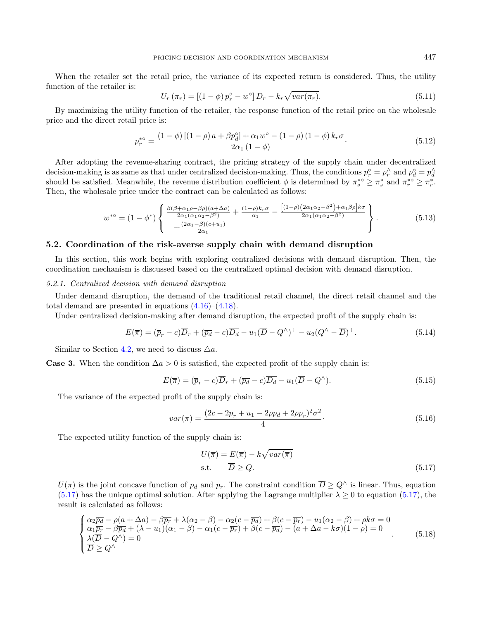When the retailer set the retail price, the variance of its expected return is considered. Thus, the utility function of the retailer is:

$$
U_r(\pi_r) = [(1 - \phi) p_r^{\circ} - w^{\circ}] D_r - k_r \sqrt{var(\pi_r)}.
$$
\n(5.11)

By maximizing the utility function of the retailer, the response function of the retail price on the wholesale price and the direct retail price is:

$$
p_r^{* \circ} = \frac{(1 - \phi) \left[ (1 - \rho) a + \beta p_d^{\circ} \right] + \alpha_1 w^{\circ} - (1 - \rho) (1 - \phi) k_r \sigma}{2\alpha_1 (1 - \phi)}.
$$
\n(5.12)

After adopting the revenue-sharing contract, the pricing strategy of the supply chain under decentralized decision-making is as same as that under centralized decision-making. Thus, the conditions  $p_r^{\circ} = p_r^{\wedge}$  and  $p_d^{\circ} = p_d^{\wedge}$ should be satisfied. Meanwhile, the revenue distribution coefficient  $\phi$  is determined by  $\pi_s^* \geq \pi_s^*$  and  $\pi_r^{*0} \geq \pi_r^*$ . Then, the wholesale price under the contract can be calculated as follows:

$$
w^{*0} = (1 - \phi^*) \left\{ \frac{\frac{\beta(\beta + \alpha_1 \rho - \beta \rho)(a + \Delta a)}{2\alpha_1(\alpha_1 \alpha_2 - \beta^2)} + \frac{(1 - \rho)k_r \sigma}{\alpha_1} - \frac{[(1 - \rho)(2\alpha_1 \alpha_2 - \beta^2) + \alpha_1 \beta \rho]k \sigma}{2\alpha_1(\alpha_1 \alpha_2 - \beta^2)}}{2\alpha_1(\alpha_1 \alpha_2 - \beta^2)} \right\}.
$$
(5.13)

## 5.2. Coordination of the risk-averse supply chain with demand disruption

In this section, this work begins with exploring centralized decisions with demand disruption. Then, the coordination mechanism is discussed based on the centralized optimal decision with demand disruption.

#### 5.2.1. Centralized decision with demand disruption

Under demand disruption, the demand of the traditional retail channel, the direct retail channel and the total demand are presented in equations [\(4.16\)](#page-7-1)–[\(4.18\)](#page-7-5).

Under centralized decision-making after demand disruption, the expected profit of the supply chain is:

$$
E(\overline{\pi}) = (\overline{p}_r - c)\overline{D}_r + (\overline{p}_d - c)\overline{D}_d - u_1(\overline{D} - Q^\wedge)^+ - u_2(Q^\wedge - \overline{D})^+.
$$
\n(5.14)

Similar to Section [4.2,](#page-7-6) we need to discuss  $\triangle a$ .

**Case 3.** When the condition  $\Delta a > 0$  is satisfied, the expected profit of the supply chain is:

<span id="page-14-1"></span>
$$
E(\overline{\pi}) = (\overline{p}_r - c)\overline{D}_r + (\overline{p}_d - c)\overline{D}_d - u_1(\overline{D} - Q^\wedge). \tag{5.15}
$$

The variance of the expected profit of the supply chain is:

$$
var(\pi) = \frac{(2c - 2\overline{p}_r + u_1 - 2\rho \overline{p}_d + 2\rho \overline{p}_r)^2 \sigma^2}{4}.
$$
\n
$$
(5.16)
$$

The expected utility function of the supply chain is:

<span id="page-14-0"></span>
$$
U(\overline{\pi}) = E(\overline{\pi}) - k\sqrt{var(\overline{\pi})}
$$
  
s.t.  $\overline{D} \ge Q$ . (5.17)

 $U(\overline{\pi})$  is the joint concave function of  $\overline{p_d}$  and  $\overline{p_r}$ . The constraint condition  $\overline{D} \geq Q^{\wedge}$  is linear. Thus, equation [\(5.17\)](#page-14-0) has the unique optimal solution. After applying the Lagrange multiplier  $\lambda \geq 0$  to equation (5.17), the result is calculated as follows:

$$
\begin{cases}\n\alpha_2 \overline{p_d} - \rho(a + \Delta a) - \beta \overline{p_r} + \lambda(\alpha_2 - \beta) - \alpha_2(c - \overline{p_d}) + \beta(c - \overline{p_r}) - u_1(\alpha_2 - \beta) + \rho k \sigma = 0 \\
\alpha_1 \overline{p_r} - \beta \overline{p_d} + (\lambda - u_1)(\alpha_1 - \beta) - \alpha_1(c - \overline{p_r}) + \beta(c - \overline{p_d}) - (a + \Delta a - k\sigma)(1 - \rho) = 0 \\
\lambda (\overline{D} - Q^{\wedge}) = 0 \\
\overline{D} \geq Q^{\wedge}\n\end{cases} (5.18)
$$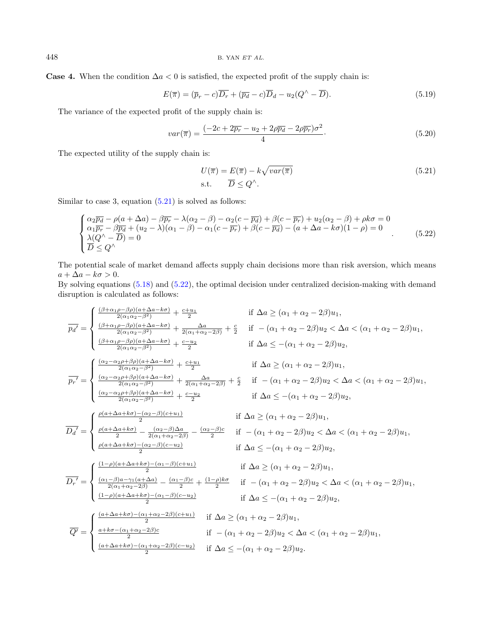**Case 4.** When the condition  $\Delta a < 0$  is satisfied, the expected profit of the supply chain is:

<span id="page-15-1"></span>
$$
E(\overline{\pi}) = (\overline{p}_r - c)\overline{D_r} + (\overline{p}_d - c)\overline{D}_d - u_2(Q^\wedge - \overline{D}).
$$
\n(5.19)

The variance of the expected profit of the supply chain is:

$$
var(\overline{\pi}) = \frac{(-2c + 2\overline{p_r} - u_2 + 2\rho \overline{p_d} - 2\rho \overline{p_r})\sigma^2}{4}.
$$
\n(5.20)

The expected utility of the supply chain is:

<span id="page-15-0"></span>
$$
U(\overline{\pi}) = E(\overline{\pi}) - k\sqrt{var(\overline{\pi})}
$$
  
s.t. 
$$
\overline{D} \leq Q^{\wedge}.
$$
 (5.21)

Similar to case 3, equation  $(5.21)$  is solved as follows:

$$
\begin{cases}\n\alpha_2 \overline{p_d} - \rho(a + \Delta a) - \beta \overline{p_r} - \lambda(\alpha_2 - \beta) - \alpha_2(c - \overline{p_d}) + \beta(c - \overline{p_r}) + u_2(\alpha_2 - \beta) + \rho k \sigma = 0 \\
\alpha_1 \overline{p_r} - \beta \overline{p_d} + (u_2 - \lambda)(\alpha_1 - \beta) - \alpha_1(c - \overline{p_r}) + \beta(c - \overline{p_d}) - (a + \Delta a - k\sigma)(1 - \rho) = 0 \\
\lambda(Q^{\wedge} - \overline{D}) = 0 \\
\overline{D} \leq Q^{\wedge}\n\end{cases} (5.22)
$$

The potential scale of market demand affects supply chain decisions more than risk aversion, which means  $a + \Delta a - k\sigma > 0.$ 

By solving equations [\(5.18\)](#page-14-1) and [\(5.22\)](#page-15-1), the optimal decision under centralized decision-making with demand disruption is calculated as follows:

$$
\overline{p_d'} = \begin{cases}\n\frac{(\beta + \alpha_1 \rho - \beta \rho)(a + \Delta a - k\sigma)}{2(\alpha_1 \alpha_2 - \beta^2)} + \frac{c + u_1}{2(\alpha_1 + \alpha_2 - 2\beta)} & \text{if } \Delta a \geq (\alpha_1 + \alpha_2 - 2\beta)u_2 < \Delta a < (\alpha_1 + \alpha_2 - 2\beta)u_1, \\
\frac{(\beta + \alpha_1 \rho - \beta \rho)(a + \Delta a - k\sigma)}{2(\alpha_1 \alpha_2 - \beta^2)} + \frac{c + u_2}{2(\alpha_1 + \alpha_2 - 2\beta)} & \text{if } \Delta a \leq -(\alpha_1 + \alpha_2 - 2\beta)u_2, \\
\frac{(\alpha_2 - \alpha_2 \rho + \beta \rho)(a + \Delta a - k\sigma)}{2(\alpha_1 \alpha_2 - \beta^2)} + \frac{c + u_1}{2} & \text{if } \Delta a \geq (\alpha_1 + \alpha_2 - 2\beta)u_2, \\
\frac{(\alpha_2 - \alpha_2 \rho + \beta \rho)(a + \Delta a - k\sigma)}{2(\alpha_1 \alpha_2 - \beta^2)} + \frac{c + u_1}{2} & \text{if } \Delta a \geq (\alpha_1 + \alpha_2 - 2\beta)u_1, \\
\frac{(\alpha_2 - \alpha_2 \rho + \beta \rho)(a + \Delta a - k\sigma)}{2(\alpha_1 \alpha_2 - \beta^2)} + \frac{c - u_2}{2} & \text{if } \Delta a \leq -(\alpha_1 + \alpha_2 - 2\beta)u_2, \\
\frac{(\alpha_2 - \alpha_2 \rho + \beta \rho)(a + \Delta a - k\sigma)}{2(\alpha_1 \alpha_2 - \beta^2)} + \frac{c - u_2}{2} & \text{if } \Delta a \leq -(\alpha_1 + \alpha_2 - 2\beta)u_2, \\
\frac{\rho(a + \Delta a + k\sigma) - (\alpha_2 - \beta)(c + u_1)}{2} & \text{if } \Delta a \geq (\alpha_1 + \alpha_2 - 2\beta)u_2, \\
\frac{\rho(a + \Delta a + k\sigma) - (\alpha_2 - \beta)(c + u_1)}{2} & \text{if } \Delta a \leq -(\alpha_1 + \alpha_2 - 2\beta)u_2, \\
\frac{\rho(a + \Delta a + k\sigma) - (\alpha_2 - \beta)(c - u_
$$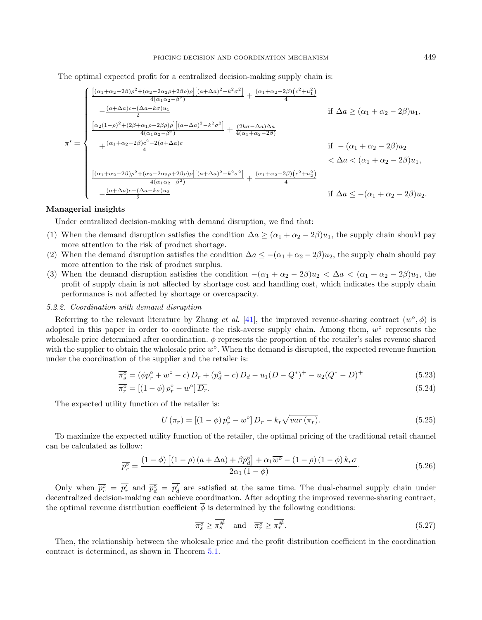The optimal expected profit for a centralized decision-making supply chain is:

$$
\overline{\pi'} = \begin{cases}\n\frac{[(\alpha_1 + \alpha_2 - 2\beta)\rho^2 + (\alpha_2 - 2\alpha_2\rho + 2\beta\rho)\rho][(a + \Delta a)^2 - k^2\sigma^2]}{4(\alpha_1\alpha_2 - \beta^2)} + \frac{(\alpha_1 + \alpha_2 - 2\beta)(c^2 + u_1^2)}{4} \\
-\frac{(a + \Delta a)c + (\Delta a - k\sigma)u_1}{2} & \text{if } \Delta a \ge (\alpha_1 + \alpha_2 - 2\beta)u_1, \\
\frac{[\alpha_2(1-\rho)^2 + (2\beta + \alpha_1\rho - 2\beta\rho)\rho][(a + \Delta a)^2 - k^2\sigma^2]}{4(\alpha_1\alpha_2 - \beta^2)} + \frac{(2k\sigma - \Delta a)\Delta a}{4(\alpha_1 + \alpha_2 - 2\beta)} \\
\frac{[\alpha_1 + \alpha_2 - 2\beta)c^2 - 2(a + \Delta a)c}{4} & \text{if } -(\alpha_1 + \alpha_2 - 2\beta)u_2 \\
\frac{[(\alpha_1 + \alpha_2 - 2\beta)\rho^2 + (\alpha_2 - 2\alpha_2\rho + 2\beta\rho)\rho][(a + \Delta a)^2 - k^2\sigma^2]}{4(\alpha_1\alpha_2 - \beta^2)} + \frac{(\alpha_1 + \alpha_2 - 2\beta)(c^2 + u_2^2)}{4} \\
-\frac{(a + \Delta a)c - (\Delta a - k\sigma)u_2}{2} & \text{if } \Delta a \le -(\alpha_1 + \alpha_2 - 2\beta)u_2.\n\end{cases}
$$

# Managerial insights

Under centralized decision-making with demand disruption, we find that:

- (1) When the demand disruption satisfies the condition  $\Delta a \geq (\alpha_1 + \alpha_2 2\beta)u_1$ , the supply chain should pay more attention to the risk of product shortage.
- (2) When the demand disruption satisfies the condition  $\Delta a \leq -(\alpha_1 + \alpha_2 2\beta)u_2$ , the supply chain should pay more attention to the risk of product surplus.
- (3) When the demand disruption satisfies the condition  $-(\alpha_1 + \alpha_2 2\beta)u_2 < \Delta a < (\alpha_1 + \alpha_2 2\beta)u_1$ , the profit of supply chain is not affected by shortage cost and handling cost, which indicates the supply chain performance is not affected by shortage or overcapacity.

#### 5.2.2. Coordination with demand disruption

Referring to the relevant literature by Zhang *et al.* [\[41\]](#page-23-1), the improved revenue-sharing contract  $(w^{\circ}, \phi)$  is adopted in this paper in order to coordinate the risk-averse supply chain. Among them,  $w^{\circ}$  represents the wholesale price determined after coordination. φ represents the proportion of the retailer's sales revenue shared with the supplier to obtain the wholesale price  $w^{\circ}$ . When the demand is disrupted, the expected revenue function under the coordination of the supplier and the retailer is:

$$
\overline{\pi_s^{\circ}} = (\phi p_r^{\circ} + w^{\circ} - c) \overline{D_r} + (p_d^{\circ} - c) \overline{D_d} - u_1 (\overline{D} - Q^*)^+ - u_2 (Q^* - \overline{D})^+ \tag{5.23}
$$

$$
\overline{\pi_r^\circ} = \left[ (1 - \phi) \, p_r^\circ - w^\circ \right] \overline{D_r}.\tag{5.24}
$$

The expected utility function of the retailer is:

$$
U\left(\overline{\pi_r}\right) = \left[\left(1-\phi\right)p_r^{\circ} - w^{\circ}\right]\overline{D}_r - k_r\sqrt{var\left(\overline{\pi_r}\right)}.
$$
\n(5.25)

To maximize the expected utility function of the retailer, the optimal pricing of the traditional retail channel can be calculated as follow:

$$
\overline{p_r^{\circ}} = \frac{\left(1 - \phi\right)\left[\left(1 - \rho\right)\left(a + \Delta a\right) + \beta \overline{p_d^{\circ}}\right] + \alpha_1 \overline{w^{\circ}} - \left(1 - \rho\right)\left(1 - \phi\right)k_r \sigma}{2\alpha_1 \left(1 - \phi\right)}.
$$
\n(5.26)

Only when  $\overline{p_r^{\circ}} = \overline{p'_r}$  and  $\overline{p_d^{\circ}} = \overline{p'_d}$  are satisfied at the same time. The dual-channel supply chain under decentralized decision-making can achieve coordination. After adopting the improved revenue-sharing contract, the optimal revenue distribution coefficient  $\phi$  is determined by the following conditions:

$$
\overline{\pi_s^{\circ}} \ge \overline{\pi_s^{\#}} \quad \text{and} \quad \overline{\pi_r^{\circ}} \ge \overline{\pi_r^{\#}}.
$$
\n
$$
(5.27)
$$

<span id="page-16-0"></span>Then, the relationship between the wholesale price and the profit distribution coefficient in the coordination contract is determined, as shown in Theorem [5.1.](#page-16-0)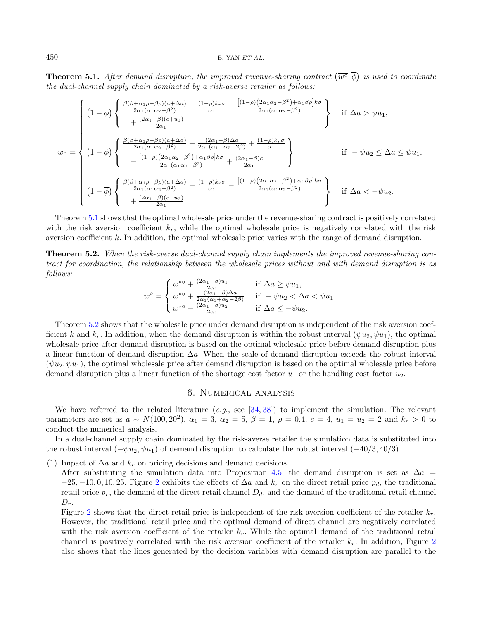**Theorem 5.1.** After demand disruption, the improved revenue-sharing contract  $(\overline{w}^{\circ}, \overline{\phi})$  is used to coordinate the dual-channel supply chain dominated by a risk-averse retailer as follows:

$$
\overline{w}^{\circ} = \begin{cases}\n(1-\overline{\phi})\left\{\n\frac{\beta(\beta+\alpha_{1}\rho-\beta\rho)(a+\Delta a)}{2\alpha_{1}(\alpha_{1}\alpha_{2}-\beta^{2})} + \frac{(1-\rho)k_{r}\sigma}{\alpha_{1}} - \frac{[(1-\rho)(2\alpha_{1}\alpha_{2}-\beta^{2})+\alpha_{1}\beta\rho]k\sigma}{2\alpha_{1}(\alpha_{1}\alpha_{2}-\beta^{2})}\n\right\} & \text{if } \Delta a > \psi u_{1}, \\
+\frac{(2\alpha_{1}-\beta)(c+u_{1})}{2\alpha_{1}} & \text{if } \Delta a > \psi u_{1},\n\end{cases}
$$
\n
$$
\overline{w}^{\circ} = \begin{cases}\n(1-\overline{\phi})\left\{\n\frac{\beta(\beta+\alpha_{1}\rho-\beta\rho)(a+\Delta a)}{2\alpha_{1}(\alpha_{1}\alpha_{2}-\beta^{2})} + \frac{(2\alpha_{1}-\beta)\Delta a}{2\alpha_{1}(\alpha_{1}+\alpha_{2}-2\beta)} + \frac{(1-\rho)k_{r}\sigma}{\alpha_{1}}\n\right\} & \text{if } -\psi u_{2} \leq \Delta a \leq \psi u_{1}, \\
-\frac{[(1-\rho)(2\alpha_{1}\alpha_{2}-\beta^{2})+\alpha_{1}\beta\rho]k\sigma}{2\alpha_{1}(\alpha_{1}\alpha_{2}-\beta^{2})} + \frac{(2\alpha_{1}-\beta)c}{2\alpha_{1}}\n\end{cases}
$$
\n
$$
(1-\overline{\phi})\left\{\n\frac{\beta(\beta+\alpha_{1}\rho-\beta\rho)(a+\Delta a)}{2\alpha_{1}(\alpha_{1}\alpha_{2}-\beta^{2})} + \frac{(1-\rho)k_{r}\sigma}{\alpha_{1}} - \frac{[(1-\rho)(2\alpha_{1}\alpha_{2}-\beta^{2})+\alpha_{1}\beta\rho]k\sigma}{2\alpha_{1}(\alpha_{1}\alpha_{2}-\beta^{2})}\n\right\} & \text{if } \Delta a < -\psi u_{2}.\n\end{cases}
$$

Theorem [5.1](#page-16-0) shows that the optimal wholesale price under the revenue-sharing contract is positively correlated with the risk aversion coefficient  $k_r$ , while the optimal wholesale price is negatively correlated with the risk aversion coefficient k. In addition, the optimal wholesale price varies with the range of demand disruption.

<span id="page-17-1"></span>Theorem 5.2. When the risk-averse dual-channel supply chain implements the improved revenue-sharing contract for coordination, the relationship between the wholesale prices without and with demand disruption is as follows:

$$
\overline{w}^{\circ} = \begin{cases} w^{*\circ} + \frac{(2\alpha_1 - \beta)u_1}{2\alpha_1} & \text{if } \Delta a \ge \psi u_1, \\ w^{*\circ} + \frac{(2\alpha_1 - \beta)\Delta a}{2\alpha_1(\alpha_1 + \alpha_2 - 2\beta)} & \text{if } -\psi u_2 < \Delta a < \psi u_1, \\ w^{*\circ} - \frac{(2\alpha_1 - \beta)u_2}{2\alpha_1} & \text{if } \Delta a \le -\psi u_2. \end{cases}
$$

Theorem [5.2](#page-17-1) shows that the wholesale price under demand disruption is independent of the risk aversion coefficient k and  $k_r$ . In addition, when the demand disruption is within the robust interval  $(\psi u_2, \psi u_1)$ , the optimal wholesale price after demand disruption is based on the optimal wholesale price before demand disruption plus a linear function of demand disruption  $\Delta a$ . When the scale of demand disruption exceeds the robust interval  $(\psi u_2, \psi u_1)$ , the optimal wholesale price after demand disruption is based on the optimal wholesale price before demand disruption plus a linear function of the shortage cost factor  $u_1$  or the handling cost factor  $u_2$ .

## 6. Numerical analysis

<span id="page-17-0"></span>We have referred to the related literature  $(e.g.,\,$  see  $[34, 38])$  $[34, 38])$  $[34, 38])$  $[34, 38])$  to implement the simulation. The relevant parameters are set as  $a \sim N(100, 20^2)$ ,  $\alpha_1 = 3$ ,  $\alpha_2 = 5$ ,  $\beta = 1$ ,  $\rho = 0.4$ ,  $c = 4$ ,  $u_1 = u_2 = 2$  and  $k_r > 0$  to conduct the numerical analysis.

In a dual-channel supply chain dominated by the risk-averse retailer the simulation data is substituted into the robust interval  $(-\psi u_2, \psi u_1)$  of demand disruption to calculate the robust interval  $(-40/3, 40/3)$ .

(1) Impact of  $\Delta a$  and  $k_r$  on pricing decisions and demand decisions.

After substituting the simulation data into Proposition [4.5,](#page-10-1) the demand disruption is set as  $\Delta a =$  $-25, -10, 0, 10, 25$  $-25, -10, 0, 10, 25$  $-25, -10, 0, 10, 25$ . Figure 2 exhibits the effects of  $\Delta a$  and  $k_r$  on the direct retail price  $p_d$ , the traditional retail price  $p_r$ , the demand of the direct retail channel  $D_d$ , and the demand of the traditional retail channel  $D_r$ .

Figure [2](#page-18-0) shows that the direct retail price is independent of the risk aversion coefficient of the retailer  $k_r$ . However, the traditional retail price and the optimal demand of direct channel are negatively correlated with the risk aversion coefficient of the retailer  $k_r$ . While the optimal demand of the traditional retail channel is positively correlated with the risk aversion coefficient of the retailer  $k_r$ . In addition, Figure [2](#page-18-0) also shows that the lines generated by the decision variables with demand disruption are parallel to the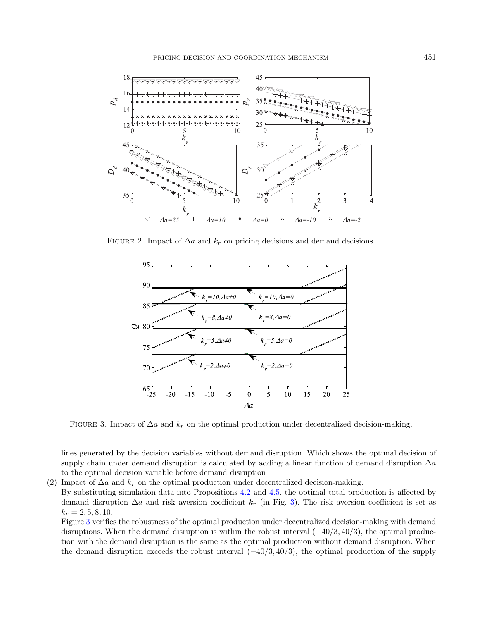<span id="page-18-0"></span>

FIGURE 2. Impact of  $\Delta a$  and  $k_r$  on pricing decisions and demand decisions.

<span id="page-18-1"></span>

FIGURE 3. Impact of  $\Delta a$  and  $k_r$  on the optimal production under decentralized decision-making.

lines generated by the decision variables without demand disruption. Which shows the optimal decision of supply chain under demand disruption is calculated by adding a linear function of demand disruption  $\Delta a$ to the optimal decision variable before demand disruption

(2) Impact of  $\Delta a$  and  $k_r$  on the optimal production under decentralized decision-making.

By substituting simulation data into Propositions [4.2](#page-6-5) and [4.5,](#page-10-1) the optimal total production is affected by demand disruption  $\Delta a$  and risk aversion coefficient  $k_r$  (in Fig. [3\)](#page-18-1). The risk aversion coefficient is set as  $k_r = 2, 5, 8, 10.$ 

Figure [3](#page-18-1) verifies the robustness of the optimal production under decentralized decision-making with demand disruptions. When the demand disruption is within the robust interval  $(-40/3, 40/3)$ , the optimal production with the demand disruption is the same as the optimal production without demand disruption. When the demand disruption exceeds the robust interval  $(-40/3, 40/3)$ , the optimal production of the supply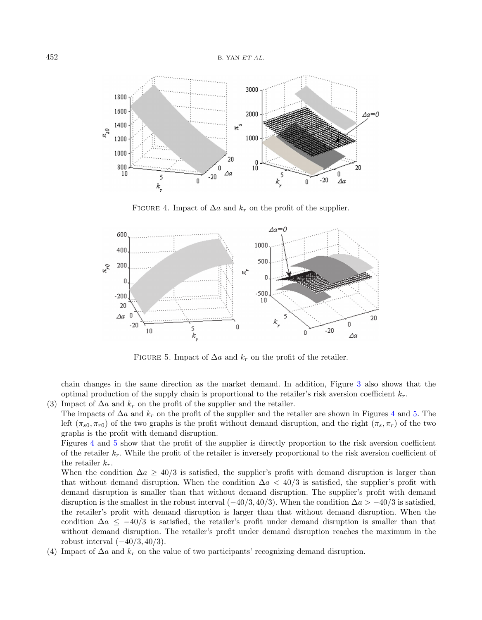<span id="page-19-0"></span>

<span id="page-19-1"></span>FIGURE 4. Impact of  $\Delta a$  and  $k_r$  on the profit of the supplier.



FIGURE 5. Impact of  $\Delta a$  and  $k_r$  on the profit of the retailer.

chain changes in the same direction as the market demand. In addition, Figure [3](#page-18-1) also shows that the optimal production of the supply chain is proportional to the retailer's risk aversion coefficient  $k_r$ .

- (3) Impact of  $\Delta a$  and  $k_r$  on the profit of the supplier and the retailer.
	- The impacts of  $\Delta a$  and  $k_r$  on the profit of the supplier and the retailer are shown in Figures [4](#page-19-0) and [5.](#page-19-1) The left  $(\pi_{s0}, \pi_{r0})$  of the two graphs is the profit without demand disruption, and the right  $(\pi_s, \pi_r)$  of the two graphs is the profit with demand disruption.

Figures [4](#page-19-0) and [5](#page-19-1) show that the profit of the supplier is directly proportion to the risk aversion coefficient of the retailer  $k_r$ . While the profit of the retailer is inversely proportional to the risk aversion coefficient of the retailer  $k_r$ .

When the condition  $\Delta a \geq 40/3$  is satisfied, the supplier's profit with demand disruption is larger than that without demand disruption. When the condition  $\Delta a < 40/3$  is satisfied, the supplier's profit with demand disruption is smaller than that without demand disruption. The supplier's profit with demand disruption is the smallest in the robust interval  $(-40/3, 40/3)$ . When the condition  $\Delta a > -40/3$  is satisfied. the retailer's profit with demand disruption is larger than that without demand disruption. When the condition  $\Delta a \leq -40/3$  is satisfied, the retailer's profit under demand disruption is smaller than that without demand disruption. The retailer's profit under demand disruption reaches the maximum in the robust interval  $(-40/3, 40/3)$ .

(4) Impact of  $\Delta a$  and  $k_r$  on the value of two participants' recognizing demand disruption.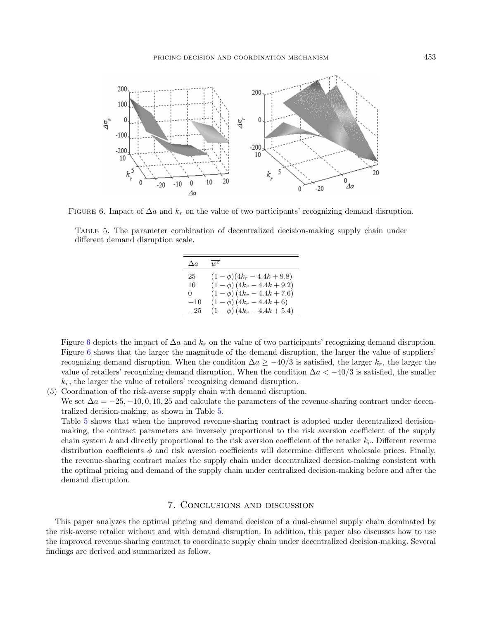<span id="page-20-2"></span><span id="page-20-1"></span>

FIGURE 6. Impact of  $\Delta a$  and  $k_r$  on the value of two participants' recognizing demand disruption.

Table 5. The parameter combination of decentralized decision-making supply chain under different demand disruption scale.

| $\Delta a$ | $11^{\circ}$                       |
|------------|------------------------------------|
| 25         | $(1 - \phi)(4k_r - 4.4k + 9.8)$    |
| 10         | $(1 - \phi) (4k_r - 4.4k + 9.2)$   |
| 0          | $(1 - \phi)$ $(4k_r - 4.4k + 7.6)$ |
| $-10$      | $(1 - \phi)$ $(4k_r - 4.4k + 6)$   |
| $-25$      | $(1 - \phi)$ $(4k_r - 4.4k + 5.4)$ |

Figure [6](#page-20-1) depicts the impact of  $\Delta a$  and  $k_r$  on the value of two participants' recognizing demand disruption. Figure [6](#page-20-1) shows that the larger the magnitude of the demand disruption, the larger the value of suppliers' recognizing demand disruption. When the condition  $\Delta a \geq -40/3$  is satisfied, the larger k<sub>r</sub>, the larger the value of retailers' recognizing demand disruption. When the condition  $\Delta a < -40/3$  is satisfied, the smaller  $k_r$ , the larger the value of retailers' recognizing demand disruption.

(5) Coordination of the risk-averse supply chain with demand disruption.

We set  $\Delta a = -25, -10, 0, 10, 25$  and calculate the parameters of the revenue-sharing contract under decentralized decision-making, as shown in Table [5.](#page-20-2)

Table [5](#page-20-2) shows that when the improved revenue-sharing contract is adopted under decentralized decisionmaking, the contract parameters are inversely proportional to the risk aversion coefficient of the supply chain system k and directly proportional to the risk aversion coefficient of the retailer  $k_r$ . Different revenue distribution coefficients  $\phi$  and risk aversion coefficients will determine different wholesale prices. Finally, the revenue-sharing contract makes the supply chain under decentralized decision-making consistent with the optimal pricing and demand of the supply chain under centralized decision-making before and after the demand disruption.

# 7. Conclusions and discussion

<span id="page-20-0"></span>This paper analyzes the optimal pricing and demand decision of a dual-channel supply chain dominated by the risk-averse retailer without and with demand disruption. In addition, this paper also discusses how to use the improved revenue-sharing contract to coordinate supply chain under decentralized decision-making. Several findings are derived and summarized as follow.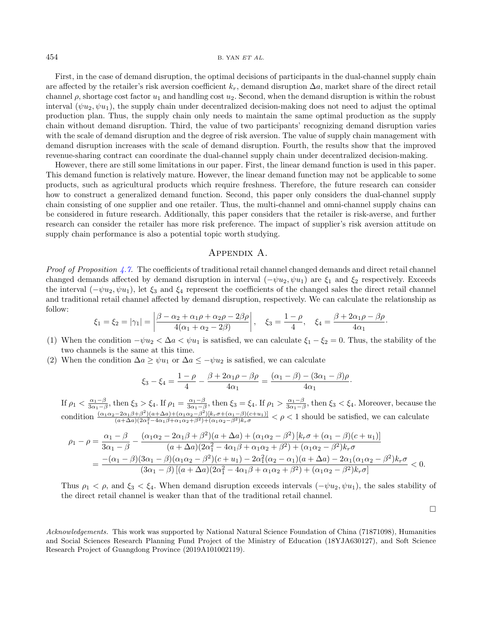First, in the case of demand disruption, the optimal decisions of participants in the dual-channel supply chain are affected by the retailer's risk aversion coefficient  $k_r$ , demand disruption  $\Delta a$ , market share of the direct retail channel  $\rho$ , shortage cost factor  $u_1$  and handling cost  $u_2$ . Second, when the demand disruption is within the robust interval  $(\psi u_2, \psi u_1)$ , the supply chain under decentralized decision-making does not need to adjust the optimal production plan. Thus, the supply chain only needs to maintain the same optimal production as the supply chain without demand disruption. Third, the value of two participants' recognizing demand disruption varies with the scale of demand disruption and the degree of risk aversion. The value of supply chain management with demand disruption increases with the scale of demand disruption. Fourth, the results show that the improved revenue-sharing contract can coordinate the dual-channel supply chain under decentralized decision-making.

However, there are still some limitations in our paper. First, the linear demand function is used in this paper. This demand function is relatively mature. However, the linear demand function may not be applicable to some products, such as agricultural products which require freshness. Therefore, the future research can consider how to construct a generalized demand function. Second, this paper only considers the dual-channel supply chain consisting of one supplier and one retailer. Thus, the multi-channel and omni-channel supply chains can be considered in future research. Additionally, this paper considers that the retailer is risk-averse, and further research can consider the retailer has more risk preference. The impact of supplier's risk aversion attitude on supply chain performance is also a potential topic worth studying.

# Appendix A.

<span id="page-21-0"></span>*Proof of Proposition [4.7.](#page-10-0)* The coefficients of traditional retail channel changed demands and direct retail channel changed demands affected by demand disruption in interval  $(-\psi u_2, \psi u_1)$  are  $\xi_1$  and  $\xi_2$  respectively. Exceeds the interval  $(-\psi u_2, \psi u_1)$ , let  $\xi_3$  and  $\xi_4$  represent the coefficients of the changed sales the direct retail channel and traditional retail channel affected by demand disruption, respectively. We can calculate the relationship as follow:

$$
\xi_1 = \xi_2 = |\gamma_1| = \left| \frac{\beta - \alpha_2 + \alpha_1 \rho + \alpha_2 \rho - 2\beta \rho}{4(\alpha_1 + \alpha_2 - 2\beta)} \right|, \quad \xi_3 = \frac{1 - \rho}{4}, \quad \xi_4 = \frac{\beta + 2\alpha_1 \rho - \beta \rho}{4\alpha_1}.
$$

- (1) When the condition  $-\psi u_2 < \Delta a < \psi u_1$  is satisfied, we can calculate  $\xi_1 \xi_2 = 0$ . Thus, the stability of the two channels is the same at this time.
- (2) When the condition  $\Delta a \geq \psi u_1$  or  $\Delta a \leq -\psi u_2$  is satisfied, we can calculate

$$
\xi_3 - \xi_4 = \frac{1 - \rho}{4} - \frac{\beta + 2\alpha_1\rho - \beta\rho}{4\alpha_1} = \frac{(\alpha_1 - \beta) - (3\alpha_1 - \beta)\rho}{4\alpha_1}.
$$

If  $\rho_1 < \frac{\alpha_1 - \beta}{3\alpha_1 - \beta}$ , then  $\xi_3 > \xi_4$ . If  $\rho_1 = \frac{\alpha_1 - \beta}{3\alpha_1 - \beta}$ , then  $\xi_3 = \xi_4$ . If  $\rho_1 > \frac{\alpha_1 - \beta}{3\alpha_1 - \beta}$ , then  $\xi_3 < \xi_4$ . Moreover, because the condition  $\frac{(\alpha_1 \alpha_2 - 2\alpha_1 \beta + \beta^2)(a + \Delta a) + (\alpha_1 \alpha_2 - \beta^2)[k_r \sigma + (\alpha_1 - \beta)(c+u_1)]}{(a + \Delta a)(2\alpha_1^2 - 4\alpha_1 \beta + \alpha_1 \alpha_2 + \beta^2) + (\alpha_1 \alpha_2 - \beta^2)k_r \sigma} < \rho < 1$  should be satisfied, we can calculate

$$
\rho_1 - \rho = \frac{\alpha_1 - \beta}{3\alpha_1 - \beta} - \frac{(\alpha_1\alpha_2 - 2\alpha_1\beta + \beta^2)(a + \Delta a) + (\alpha_1\alpha_2 - \beta^2)[k_r\sigma + (\alpha_1 - \beta)(c + u_1)]}{(a + \Delta a)(2\alpha_1^2 - 4\alpha_1\beta + \alpha_1\alpha_2 + \beta^2) + (\alpha_1\alpha_2 - \beta^2)k_r\sigma} \n= \frac{-(\alpha_1 - \beta)(3\alpha_1 - \beta)(\alpha_1\alpha_2 - \beta^2)(c + u_1) - 2\alpha_1^2(\alpha_2 - \alpha_1)(a + \Delta a) - 2\alpha_1(\alpha_1\alpha_2 - \beta^2)k_r\sigma}{(3\alpha_1 - \beta)[(a + \Delta a)(2\alpha_1^2 - 4\alpha_1\beta + \alpha_1\alpha_2 + \beta^2) + (\alpha_1\alpha_2 - \beta^2)k_r\sigma]} < 0.
$$

Thus  $\rho_1 < \rho$ , and  $\xi_3 < \xi_4$ . When demand disruption exceeds intervals  $(-\psi u_2, \psi u_1)$ , the sales stability of the direct retail channel is weaker than that of the traditional retail channel.

 $\Box$ 

Acknowledgements. This work was supported by National Natural Science Foundation of China (71871098), Humanities and Social Sciences Research Planning Fund Project of the Ministry of Education (18YJA630127), and Soft Science Research Project of Guangdong Province (2019A101002119).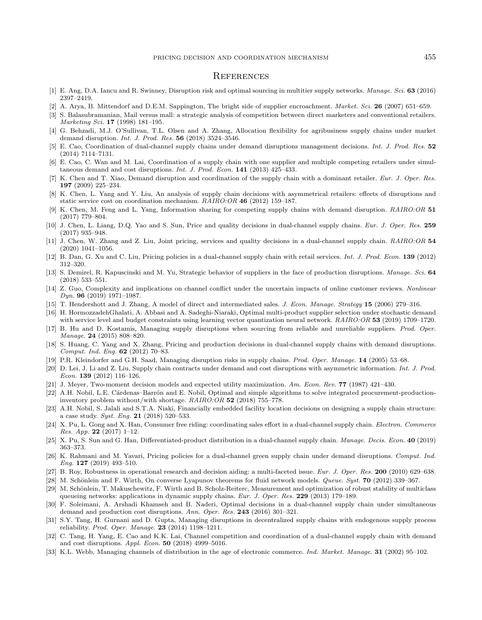#### PRICING DECISION AND COORDINATION MECHANISM 455

## **REFERENCES**

- <span id="page-22-28"></span><span id="page-22-27"></span><span id="page-22-23"></span><span id="page-22-22"></span><span id="page-22-21"></span><span id="page-22-20"></span><span id="page-22-12"></span><span id="page-22-9"></span><span id="page-22-3"></span>[1] E. Ang, D.A. Iancu and R. Swinney, Disruption risk and optimal sourcing in multitier supply networks. Manage. Sci. 63 (2016) 2397–2419.
- <span id="page-22-14"></span>[2] A. Arya, B. Mittendorf and D.E.M. Sappington, The bright side of supplier encroachment. Market. Sci. 26 (2007) 651–659.
- [3] S. Balasubramanian, Mail versus mall: a strategic analysis of competition between direct marketers and conventional retailers. Marketing Sci. 17 (1998) 181–195.
- <span id="page-22-17"></span>[4] G. Behzadi, M.J. O'Sullivan, T.L. Olsen and A. Zhang, Allocation flexibility for agribusiness supply chains under market demand disruption. Int. J. Prod. Res. 56 (2018) 3524–3546.
- <span id="page-22-30"></span>[5] E. Cao, Coordination of dual-channel supply chains under demand disruptions management decisions. Int. J. Prod. Res. 52 (2014) 7114–7131.
- <span id="page-22-4"></span>[6] E. Cao, C. Wan and M. Lai, Coordination of a supply chain with one supplier and multiple competing retailers under simultaneous demand and cost disruptions. Int. J. Prod. Econ. 141 (2013) 425–433.
- <span id="page-22-15"></span>[7] K. Chen and T. Xiao, Demand disruption and coordination of the supply chain with a dominant retailer. Eur. J. Oper. Res. 197 (2009) 225–234.
- <span id="page-22-26"></span><span id="page-22-11"></span>[8] K. Chen, L. Yang and Y. Liu, An analysis of supply chain decisions with asymmetrical retailers: effects of disruptions and static service cost on coordination mechanism. RAIRO:OR 46 (2012) 159–187.
- <span id="page-22-5"></span>[9] K. Chen, M. Feng and L. Yang, Information sharing for competing supply chains with demand disruption. RAIRO:OR 51 (2017) 779–804.
- <span id="page-22-18"></span>[10] J. Chen, L. Liang, D.Q. Yao and S. Sun, Price and quality decisions in dual-channel supply chains. Eur. J. Oper. Res. 259 (2017) 935–948.
- <span id="page-22-0"></span>[11] J. Chen, W. Zhang and Z. Liu, Joint pricing, services and quality decisions in a dual-channel supply chain. RAIRO:OR 54 (2020) 1041–1056.
- <span id="page-22-19"></span>[12] B. Dan, G. Xu and C. Liu, Pricing policies in a dual-channel supply chain with retail services. Int. J. Prod. Econ. 139 (2012) 312–320.
- <span id="page-22-31"></span><span id="page-22-29"></span>[13] S. Demirel, R. Kapuscinski and M. Yu, Strategic behavior of suppliers in the face of production disruptions. Manage. Sci. 64 (2018) 533–551.
- <span id="page-22-7"></span>[14] Z. Guo, Complexity and implications on channel conflict under the uncertain impacts of online customer reviews. Nonlinear Dyn. 96 (2019) 1971–1987.
- <span id="page-22-13"></span>[15] T. Hendershott and J. Zhang, A model of direct and intermediated sales. J. Econ. Manage. Strategy 15 (2006) 279–316.
- [16] H. HormozzadehGhalati, A. Abbasi and A. Sadeghi-Niaraki, Optimal multi-product supplier selection under stochastic demand with service level and budget constraints using learning vector quantization neural network. RAIRO:OR 53 (2019) 1709–1720.
- <span id="page-22-16"></span>[17] B. Hu and D. Kostamis, Managing supply disruptions when sourcing from reliable and unreliable suppliers. Prod. Oper. Manage. 24 (2015) 808–820.
- <span id="page-22-25"></span>[18] S. Huang, C. Yang and X. Zhang, Pricing and production decisions in dual-channel supply chains with demand disruptions. Comput. Ind. Eng. 62 (2012) 70–83.
- <span id="page-22-1"></span>[19] P.R. Kleindorfer and G.H. Saad, Managing disruption risks in supply chains. Prod. Oper. Manage. 14 (2005) 53–68.
- <span id="page-22-2"></span>[20] D. Lei, J. Li and Z. Liu, Supply chain contracts under demand and cost disruptions with asymmetric information. Int. J. Prod. Econ. 139 (2012) 116–126.
- [21] J. Meyer, Two-moment decision models and expected utility maximization. Am. Econ. Rev. 77 (1987) 421-430.
- <span id="page-22-8"></span>[22] A.H. Nobil, L.E. Cárdenas–Barrón and E. Nobil, Optimal and simple algorithms to solve integrated procurement-productioninventory problem without/with shortage.  $RAIRO:OR$  52 (2018) 755–778.
- <span id="page-22-6"></span>[23] A.H. Nobil, S. Jalali and S.T.A. Niaki, Financially embedded facility location decisions on designing a supply chain structure: a case study. Syst. Eng. 21 (2018) 520–533.
- <span id="page-22-24"></span>[24] X. Pu, L. Gong and X. Han, Consumer free riding: coordinating sales effort in a dual-channel supply chain. Electron. Commerce Res. App. 22 (2017) 1-12.
- <span id="page-22-10"></span>[25] X. Pu, S. Sun and G. Han, Differentiated-product distribution in a dual-channel supply chain. Manage. Decis. Econ. 40 (2019) 363–373.
- [26] K. Rahmani and M. Yavari, Pricing policies for a dual-channel green supply chain under demand disruptions. Comput. Ind. Eng. 127 (2019) 493–510.
- [27] B. Roy, Robustness in operational research and decision aiding: a multi-faceted issue. Eur. J. Oper. Res. 200 (2010) 629–638.
- [28] M. Schönlein and F. Wirth, On converse Lyapunov theorems for fluid network models. Queue. Syst. 70 (2012) 339–367.
- [29] M. Schönlein, T. Makuschewitz, F. Wirth and B. Scholz-Reiterc, Measurement and optimization of robust stability of multiclass queueing networks: applications in dynamic supply chains. Eur. J. Oper. Res. 229 (2013) 179–189.
- [30] F. Soleimani, A. Arshadi Khamseh and B. Naderi, Optimal decisions in a dual-channel supply chain under simultaneous demand and production cost disruptions. Ann. Oper. Res. 243 (2016) 301–321.
- [31] S.Y. Tang, H. Gurnani and D. Gupta, Managing disruptions in decentralized supply chains with endogenous supply process reliability. Prod. Oper. Manage. 23 (2014) 1198–1211.
- [32] C. Tang, H. Yang, E. Cao and K.K. Lai, Channel competition and coordination of a dual-channel supply chain with demand and cost disruptions. Appl. Econ. 50 (2018) 4999–5016.
- [33] K.L. Webb, Managing channels of distribution in the age of electronic commerce. Ind. Market. Manage. **31** (2002) 95–102.